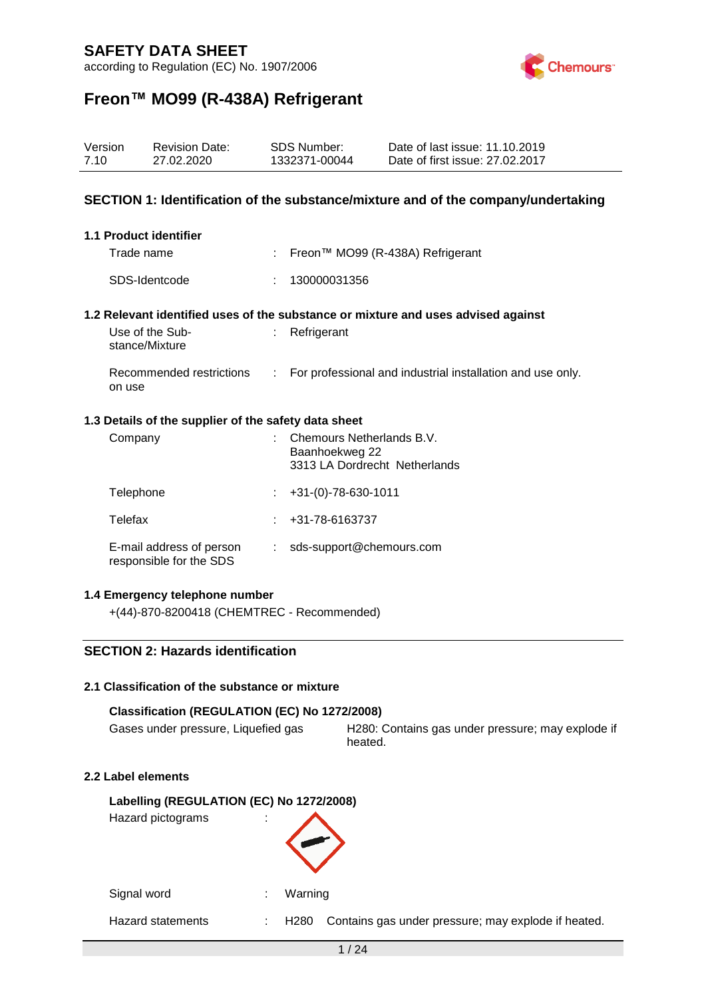according to Regulation (EC) No. 1907/2006



# **Freon™ MO99 (R-438A) Refrigerant**

| Version<br>7.10 |                                                                                                                                                      | <b>Revision Date:</b><br>27.02.2020                                                  |    | <b>SDS Number:</b><br>1332371-00044 | Date of last issue: 11.10.2019<br>Date of first issue: 27.02.2017                 |  |  |
|-----------------|------------------------------------------------------------------------------------------------------------------------------------------------------|--------------------------------------------------------------------------------------|----|-------------------------------------|-----------------------------------------------------------------------------------|--|--|
|                 |                                                                                                                                                      |                                                                                      |    |                                     | SECTION 1: Identification of the substance/mixture and of the company/undertaking |  |  |
|                 |                                                                                                                                                      | <b>1.1 Product identifier</b>                                                        |    |                                     |                                                                                   |  |  |
|                 | Trade name                                                                                                                                           |                                                                                      | ÷. |                                     | Freon™ MO99 (R-438A) Refrigerant                                                  |  |  |
|                 |                                                                                                                                                      | SDS-Identcode                                                                        |    | 130000031356                        |                                                                                   |  |  |
|                 |                                                                                                                                                      |                                                                                      |    |                                     | 1.2 Relevant identified uses of the substance or mixture and uses advised against |  |  |
|                 | stance/Mixture                                                                                                                                       | Use of the Sub-                                                                      | ÷. | Refrigerant                         |                                                                                   |  |  |
|                 | on use                                                                                                                                               | Recommended restrictions                                                             | ÷. |                                     | For professional and industrial installation and use only.                        |  |  |
|                 |                                                                                                                                                      | 1.3 Details of the supplier of the safety data sheet                                 |    |                                     |                                                                                   |  |  |
|                 | Company                                                                                                                                              |                                                                                      |    | Baanhoekweg 22                      | Chemours Netherlands B.V.<br>3313 LA Dordrecht Netherlands                        |  |  |
|                 | Telephone                                                                                                                                            |                                                                                      |    | $+31-(0)-78-630-1011$               |                                                                                   |  |  |
|                 | Telefax                                                                                                                                              |                                                                                      |    | +31-78-6163737                      |                                                                                   |  |  |
|                 |                                                                                                                                                      | E-mail address of person<br>sds-support@chemours.com<br>÷<br>responsible for the SDS |    |                                     |                                                                                   |  |  |
|                 | 1.4 Emergency telephone number<br>+(44)-870-8200418 (CHEMTREC - Recommended)                                                                         |                                                                                      |    |                                     |                                                                                   |  |  |
|                 |                                                                                                                                                      | <b>SECTION 2: Hazards identification</b>                                             |    |                                     |                                                                                   |  |  |
|                 |                                                                                                                                                      | 2.1 Classification of the substance or mixture                                       |    |                                     |                                                                                   |  |  |
|                 | Classification (REGULATION (EC) No 1272/2008)<br>Gases under pressure, Liquefied gas<br>H280: Contains gas under pressure; may explode if<br>heated. |                                                                                      |    |                                     |                                                                                   |  |  |
|                 |                                                                                                                                                      | 2.2 Label elements                                                                   |    |                                     |                                                                                   |  |  |
|                 |                                                                                                                                                      | Labelling (REGULATION (EC) No 1272/2008)<br>Hazard pictograms                        |    |                                     |                                                                                   |  |  |

Signal word : Warning

Hazard statements : H280 Contains gas under pressure; may explode if heated.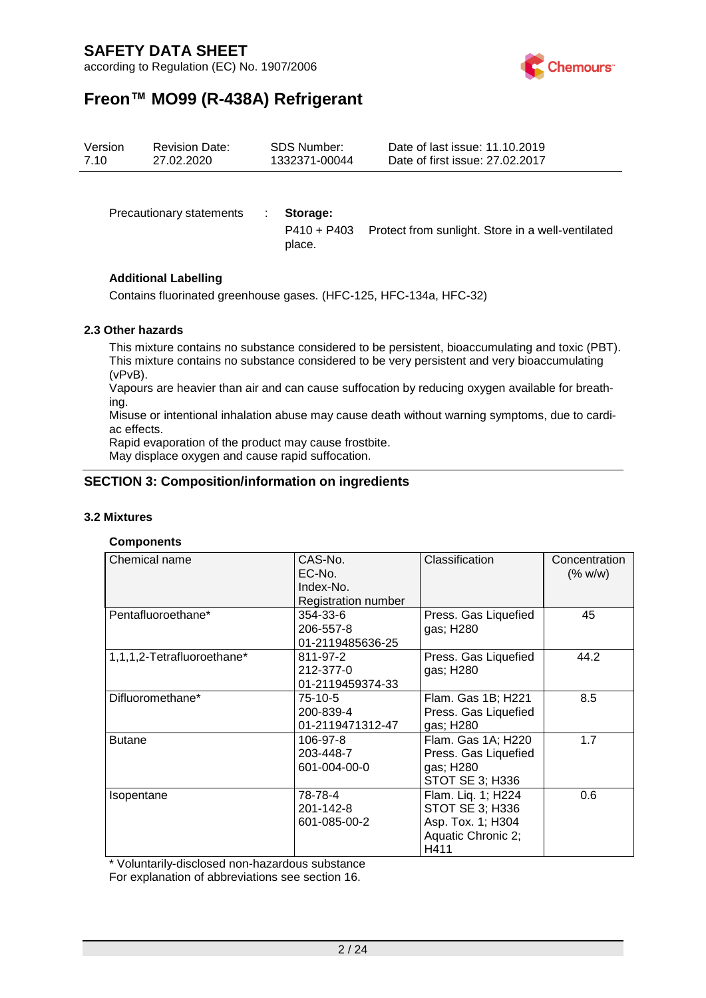according to Regulation (EC) No. 1907/2006



# **Freon™ MO99 (R-438A) Refrigerant**

| Version | <b>Revision Date:</b>    |  | <b>SDS Number:</b> | Date of last issue: 11.10.2019                                |  |  |
|---------|--------------------------|--|--------------------|---------------------------------------------------------------|--|--|
| 7.10    | 27.02.2020               |  | 1332371-00044      | Date of first issue: 27,02,2017                               |  |  |
|         | Precautionary statements |  | Storage:           | P410 + P403 Protect from sunlight. Store in a well-ventilated |  |  |

#### **Additional Labelling**

Contains fluorinated greenhouse gases. (HFC-125, HFC-134a, HFC-32)

place.

#### **2.3 Other hazards**

This mixture contains no substance considered to be persistent, bioaccumulating and toxic (PBT). This mixture contains no substance considered to be very persistent and very bioaccumulating (vPvB).

Vapours are heavier than air and can cause suffocation by reducing oxygen available for breathing.

Misuse or intentional inhalation abuse may cause death without warning symptoms, due to cardiac effects.

Rapid evaporation of the product may cause frostbite.

May displace oxygen and cause rapid suffocation.

#### **SECTION 3: Composition/information on ingredients**

#### **3.2 Mixtures**

#### **Components**

| Chemical name              | CAS-No.<br>EC-No.<br>Index-No.<br><b>Registration number</b> | Classification                                                                           | Concentration<br>(% w/w) |
|----------------------------|--------------------------------------------------------------|------------------------------------------------------------------------------------------|--------------------------|
| Pentafluoroethane*         | 354-33-6<br>206-557-8<br>01-2119485636-25                    | Press. Gas Liquefied<br>gas; H280                                                        | 45                       |
| 1,1,1,2-Tetrafluoroethane* | 811-97-2<br>212-377-0<br>01-2119459374-33                    | Press. Gas Liquefied<br>gas; H280                                                        | 44.2                     |
| Difluoromethane*           | 75-10-5<br>200-839-4<br>01-2119471312-47                     | Flam. Gas 1B; H221<br>Press. Gas Liquefied<br>gas; H280                                  | 8.5                      |
| <b>Butane</b>              | 106-97-8<br>203-448-7<br>601-004-00-0                        | Flam. Gas 1A; H220<br>Press. Gas Liquefied<br>gas; H280<br>STOT SE 3; H336               | 1.7                      |
| Isopentane                 | 78-78-4<br>201-142-8<br>601-085-00-2                         | Flam. Liq. 1; H224<br>STOT SE 3; H336<br>Asp. Tox. 1; H304<br>Aquatic Chronic 2;<br>H411 | 0.6                      |

\* Voluntarily-disclosed non-hazardous substance

For explanation of abbreviations see section 16.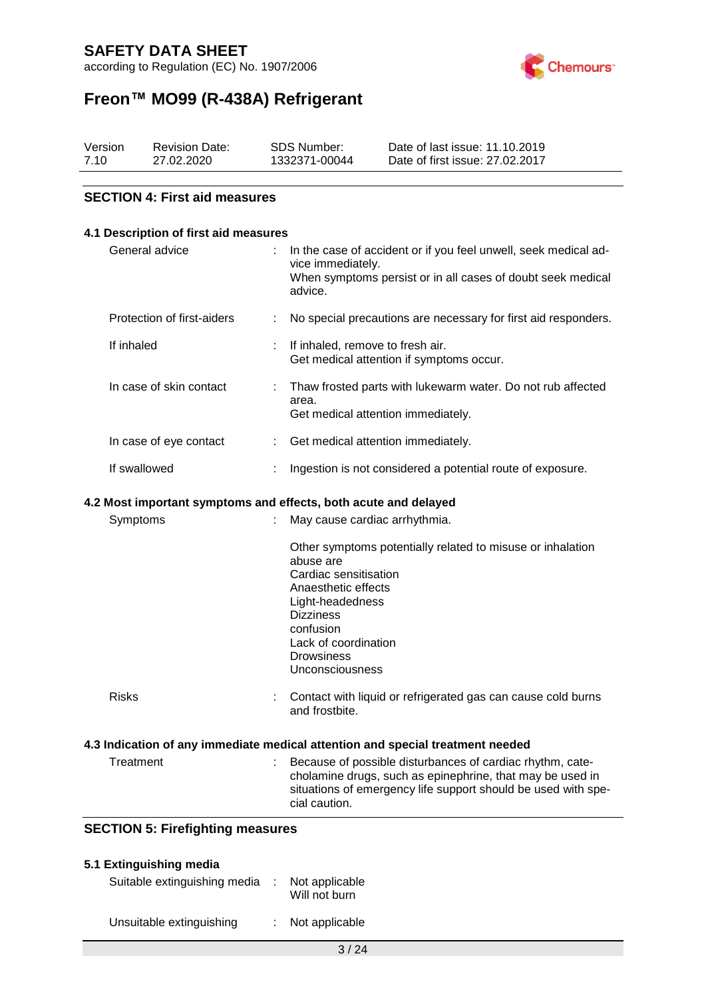according to Regulation (EC) No. 1907/2006



# **Freon™ MO99 (R-438A) Refrigerant**

| Version | <b>Revision Date:</b> | <b>SDS Number:</b> | Date of last issue: 11.10.2019  |
|---------|-----------------------|--------------------|---------------------------------|
| 7.10    | 27.02.2020            | 1332371-00044      | Date of first issue: 27,02,2017 |

#### **SECTION 4: First aid measures**

| 4.1 Description of first aid measures   |                                                                                                                                                                                                                                              |
|-----------------------------------------|----------------------------------------------------------------------------------------------------------------------------------------------------------------------------------------------------------------------------------------------|
| General advice                          | In the case of accident or if you feel unwell, seek medical ad-<br>vice immediately.<br>When symptoms persist or in all cases of doubt seek medical<br>advice.                                                                               |
| Protection of first-aiders              | No special precautions are necessary for first aid responders.                                                                                                                                                                               |
| If inhaled                              | If inhaled, remove to fresh air.<br>Get medical attention if symptoms occur.                                                                                                                                                                 |
| In case of skin contact                 | Thaw frosted parts with lukewarm water. Do not rub affected<br>area.<br>Get medical attention immediately.                                                                                                                                   |
| In case of eye contact                  | Get medical attention immediately.                                                                                                                                                                                                           |
| If swallowed                            | Ingestion is not considered a potential route of exposure.                                                                                                                                                                                   |
| Symptoms                                | 4.2 Most important symptoms and effects, both acute and delayed<br>May cause cardiac arrhythmia.                                                                                                                                             |
|                                         | Other symptoms potentially related to misuse or inhalation<br>abuse are<br>Cardiac sensitisation<br>Anaesthetic effects<br>Light-headedness<br><b>Dizziness</b><br>confusion<br>Lack of coordination<br><b>Drowsiness</b><br>Unconsciousness |
| <b>Risks</b>                            | Contact with liquid or refrigerated gas can cause cold burns<br>and frostbite.                                                                                                                                                               |
|                                         | 4.3 Indication of any immediate medical attention and special treatment needed                                                                                                                                                               |
| Treatment                               | Because of possible disturbances of cardiac rhythm, cate-<br>cholamine drugs, such as epinephrine, that may be used in<br>situations of emergency life support should be used with spe-<br>cial caution.                                     |
| <b>SECTION 5: Firefighting measures</b> |                                                                                                                                                                                                                                              |

| 5.1 Extinguishing media      |                                 |
|------------------------------|---------------------------------|
| Suitable extinguishing media | Not applicable<br>Will not burn |
| Unsuitable extinguishing     | Not applicable                  |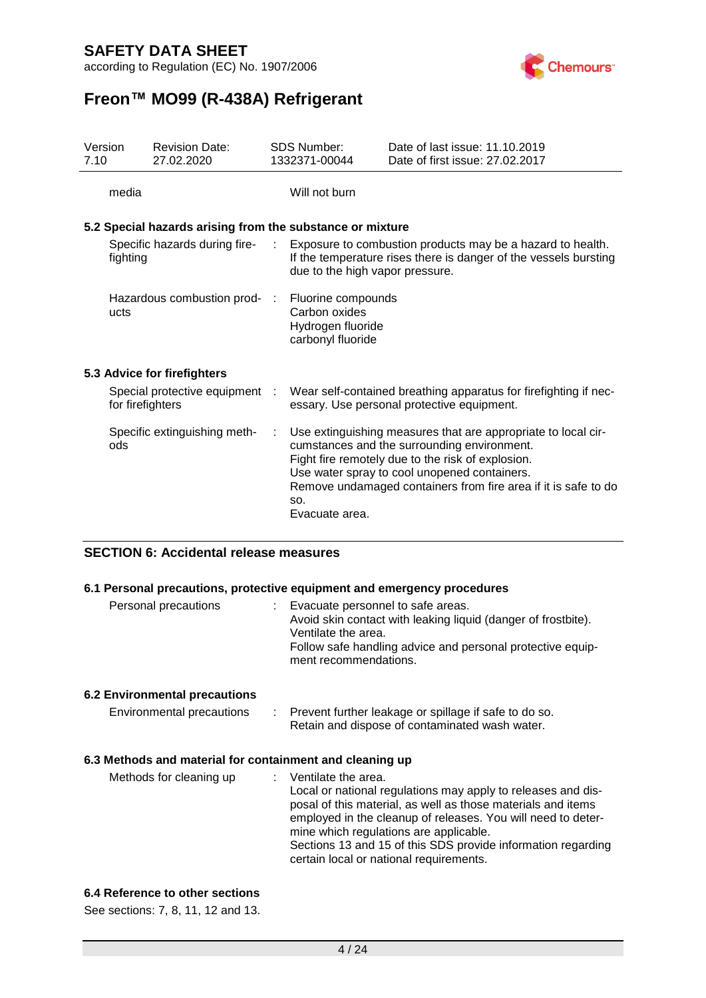according to Regulation (EC) No. 1907/2006



## **Freon™ MO99 (R-438A) Refrigerant**

| Version<br>7.10 |                  | <b>Revision Date:</b><br>27.02.2020                       |      | <b>SDS Number:</b><br>1332371-00044                                           | Date of last issue: 11.10.2019<br>Date of first issue: 27.02.2017                                                                                                                                                                                                                   |
|-----------------|------------------|-----------------------------------------------------------|------|-------------------------------------------------------------------------------|-------------------------------------------------------------------------------------------------------------------------------------------------------------------------------------------------------------------------------------------------------------------------------------|
|                 | media            |                                                           |      | Will not burn                                                                 |                                                                                                                                                                                                                                                                                     |
|                 |                  | 5.2 Special hazards arising from the substance or mixture |      |                                                                               |                                                                                                                                                                                                                                                                                     |
|                 | fighting         | Specific hazards during fire-                             | ÷.   | due to the high vapor pressure.                                               | Exposure to combustion products may be a hazard to health.<br>If the temperature rises there is danger of the vessels bursting                                                                                                                                                      |
|                 | ucts             | Hazardous combustion prod-                                | - 11 | Fluorine compounds<br>Carbon oxides<br>Hydrogen fluoride<br>carbonyl fluoride |                                                                                                                                                                                                                                                                                     |
|                 |                  | 5.3 Advice for firefighters                               |      |                                                                               |                                                                                                                                                                                                                                                                                     |
|                 | for firefighters | Special protective equipment :                            |      |                                                                               | Wear self-contained breathing apparatus for firefighting if nec-<br>essary. Use personal protective equipment.                                                                                                                                                                      |
|                 | ods              | Specific extinguishing meth-                              | ÷    | SO.<br>Evacuate area.                                                         | Use extinguishing measures that are appropriate to local cir-<br>cumstances and the surrounding environment.<br>Fight fire remotely due to the risk of explosion.<br>Use water spray to cool unopened containers.<br>Remove undamaged containers from fire area if it is safe to do |

#### **SECTION 6: Accidental release measures**

#### **6.1 Personal precautions, protective equipment and emergency procedures**

| Personal precautions |  | Evacuate personnel to safe areas.<br>Ventilate the area.<br>ment recommendations. | Avoid skin contact with leaking liquid (danger of frostbite).<br>Follow safe handling advice and personal protective equip- |
|----------------------|--|-----------------------------------------------------------------------------------|-----------------------------------------------------------------------------------------------------------------------------|
|                      |  |                                                                                   |                                                                                                                             |

#### **6.2 Environmental precautions**

| Environmental precautions |  | Prevent further leakage or spillage if safe to do so. |
|---------------------------|--|-------------------------------------------------------|
|                           |  | Retain and dispose of contaminated wash water.        |

#### **6.3 Methods and material for containment and cleaning up**

Methods for cleaning up : Ventilate the area. Local or national regulations may apply to releases and disposal of this material, as well as those materials and items employed in the cleanup of releases. You will need to determine which regulations are applicable. Sections 13 and 15 of this SDS provide information regarding certain local or national requirements.

#### **6.4 Reference to other sections**

See sections: 7, 8, 11, 12 and 13.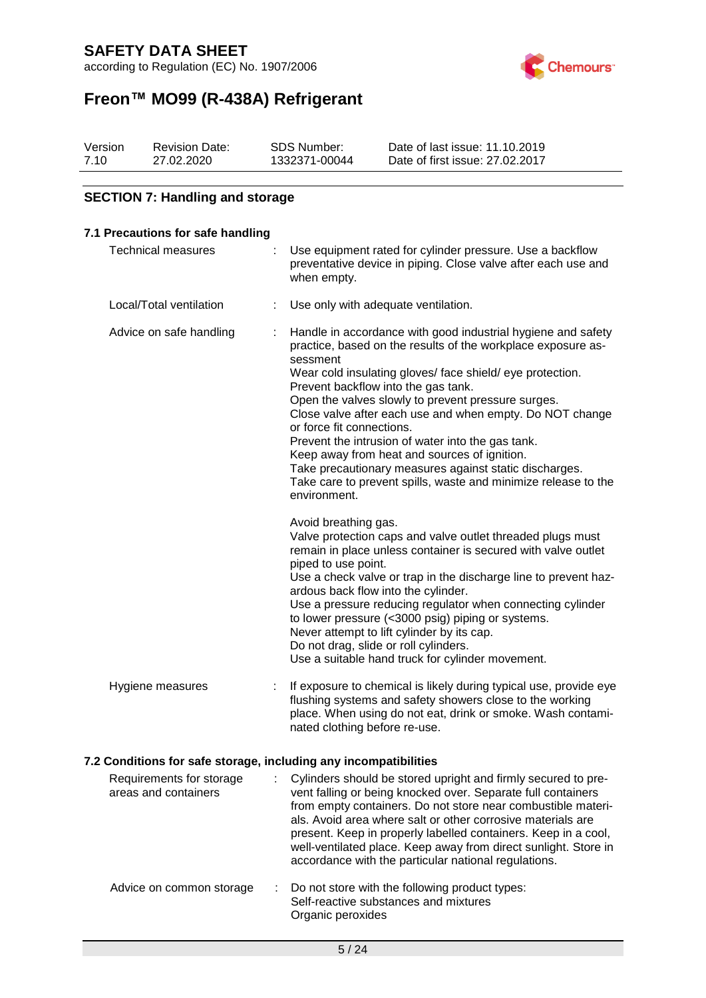according to Regulation (EC) No. 1907/2006



# **Freon™ MO99 (R-438A) Refrigerant**

| Version | <b>Revision Date:</b> | SDS Number:   | Date of last issue: 11.10.2019  |
|---------|-----------------------|---------------|---------------------------------|
| 7.10    | 27.02.2020            | 1332371-00044 | Date of first issue: 27,02,2017 |

#### **SECTION 7: Handling and storage**

#### **7.1 Precautions for safe handling** Technical measures : Use equipment rated for cylinder pressure. Use a backflow preventative device in piping. Close valve after each use and when empty. Local/Total ventilation : Use only with adequate ventilation. Advice on safe handling : Handle in accordance with good industrial hygiene and safety practice, based on the results of the workplace exposure assessment Wear cold insulating gloves/ face shield/ eye protection. Prevent backflow into the gas tank. Open the valves slowly to prevent pressure surges. Close valve after each use and when empty. Do NOT change or force fit connections. Prevent the intrusion of water into the gas tank. Keep away from heat and sources of ignition. Take precautionary measures against static discharges. Take care to prevent spills, waste and minimize release to the environment. Avoid breathing gas. Valve protection caps and valve outlet threaded plugs must remain in place unless container is secured with valve outlet piped to use point. Use a check valve or trap in the discharge line to prevent hazardous back flow into the cylinder. Use a pressure reducing regulator when connecting cylinder to lower pressure (<3000 psig) piping or systems. Never attempt to lift cylinder by its cap. Do not drag, slide or roll cylinders. Use a suitable hand truck for cylinder movement. Hygiene measures : If exposure to chemical is likely during typical use, provide eye flushing systems and safety showers close to the working place. When using do not eat, drink or smoke. Wash contaminated clothing before re-use.

#### **7.2 Conditions for safe storage, including any incompatibilities**

| Requirements for storage<br>areas and containers | Cylinders should be stored upright and firmly secured to pre-<br>vent falling or being knocked over. Separate full containers<br>from empty containers. Do not store near combustible materi-<br>als. Avoid area where salt or other corrosive materials are<br>present. Keep in properly labelled containers. Keep in a cool,<br>well-ventilated place. Keep away from direct sunlight. Store in<br>accordance with the particular national regulations. |
|--------------------------------------------------|-----------------------------------------------------------------------------------------------------------------------------------------------------------------------------------------------------------------------------------------------------------------------------------------------------------------------------------------------------------------------------------------------------------------------------------------------------------|
| Advice on common storage                         | : Do not store with the following product types:<br>Self-reactive substances and mixtures<br>Organic peroxides                                                                                                                                                                                                                                                                                                                                            |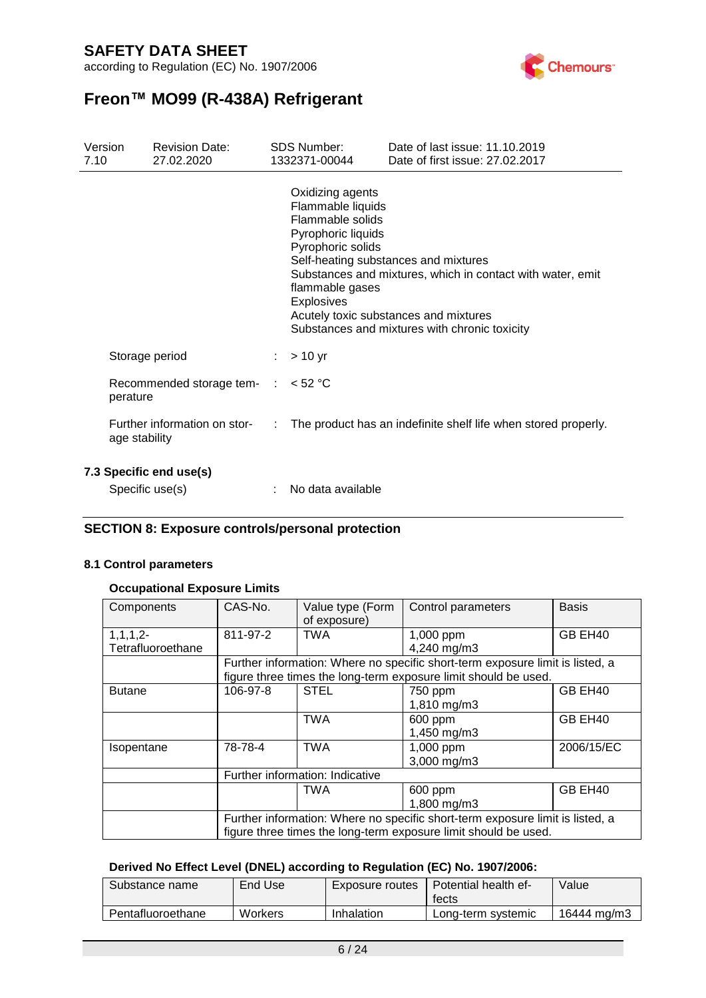according to Regulation (EC) No. 1907/2006



## **Freon™ MO99 (R-438A) Refrigerant**

| Version<br>7.10 |                                            | <b>Revision Date:</b><br>27.02.2020           | <b>SDS Number:</b><br>1332371-00044                                                                                                          | Date of last issue: 11.10.2019<br>Date of first issue: 27.02.2017                                                                                                                            |
|-----------------|--------------------------------------------|-----------------------------------------------|----------------------------------------------------------------------------------------------------------------------------------------------|----------------------------------------------------------------------------------------------------------------------------------------------------------------------------------------------|
|                 |                                            |                                               | Oxidizing agents<br>Flammable liquids<br>Flammable solids<br>Pyrophoric liquids<br>Pyrophoric solids<br>flammable gases<br><b>Explosives</b> | Self-heating substances and mixtures<br>Substances and mixtures, which in contact with water, emit<br>Acutely toxic substances and mixtures<br>Substances and mixtures with chronic toxicity |
|                 | Storage period                             |                                               | $> 10$ yr                                                                                                                                    |                                                                                                                                                                                              |
|                 | perature                                   | Recommended storage tem- $\therefore$ < 52 °C |                                                                                                                                              |                                                                                                                                                                                              |
|                 | age stability                              | Further information on stor-                  |                                                                                                                                              | The product has an indefinite shelf life when stored properly.                                                                                                                               |
|                 | 7.3 Specific end use(s)<br>Specific use(s) |                                               | No data available                                                                                                                            |                                                                                                                                                                                              |

#### **SECTION 8: Exposure controls/personal protection**

#### **8.1 Control parameters**

#### **Occupational Exposure Limits**

| Components                      | CAS-No.                                                                       | Value type (Form<br>of exposure) | Control parameters                                                                                                                               | <b>Basis</b> |  |
|---------------------------------|-------------------------------------------------------------------------------|----------------------------------|--------------------------------------------------------------------------------------------------------------------------------------------------|--------------|--|
| $1,1,1,2-$<br>Tetrafluoroethane | 811-97-2                                                                      | <b>TWA</b>                       | 1,000 ppm<br>4,240 mg/m3                                                                                                                         | GB EH40      |  |
|                                 |                                                                               |                                  | Further information: Where no specific short-term exposure limit is listed, a<br>figure three times the long-term exposure limit should be used. |              |  |
| <b>Butane</b>                   | 106-97-8                                                                      | <b>STEL</b>                      | 750 ppm<br>1,810 mg/m3                                                                                                                           | GB EH40      |  |
|                                 |                                                                               | <b>TWA</b>                       | 600 ppm<br>1,450 mg/m3                                                                                                                           | GB EH40      |  |
| Isopentane                      | 78-78-4                                                                       | <b>TWA</b>                       | 1,000 ppm<br>3,000 mg/m3                                                                                                                         | 2006/15/EC   |  |
|                                 | Further information: Indicative                                               |                                  |                                                                                                                                                  |              |  |
|                                 |                                                                               | <b>TWA</b>                       | 600 ppm                                                                                                                                          | GB EH40      |  |
|                                 |                                                                               |                                  | 1,800 mg/m3                                                                                                                                      |              |  |
|                                 | Further information: Where no specific short-term exposure limit is listed, a |                                  |                                                                                                                                                  |              |  |
|                                 | figure three times the long-term exposure limit should be used.               |                                  |                                                                                                                                                  |              |  |

#### **Derived No Effect Level (DNEL) according to Regulation (EC) No. 1907/2006:**

| Substance name    | End Use | Exposure routes | <b>Potential health ef-</b><br>tects | Value       |
|-------------------|---------|-----------------|--------------------------------------|-------------|
| Pentafluoroethane | Workers | Inhalation      | Long-term systemic                   | 16444 mg/m3 |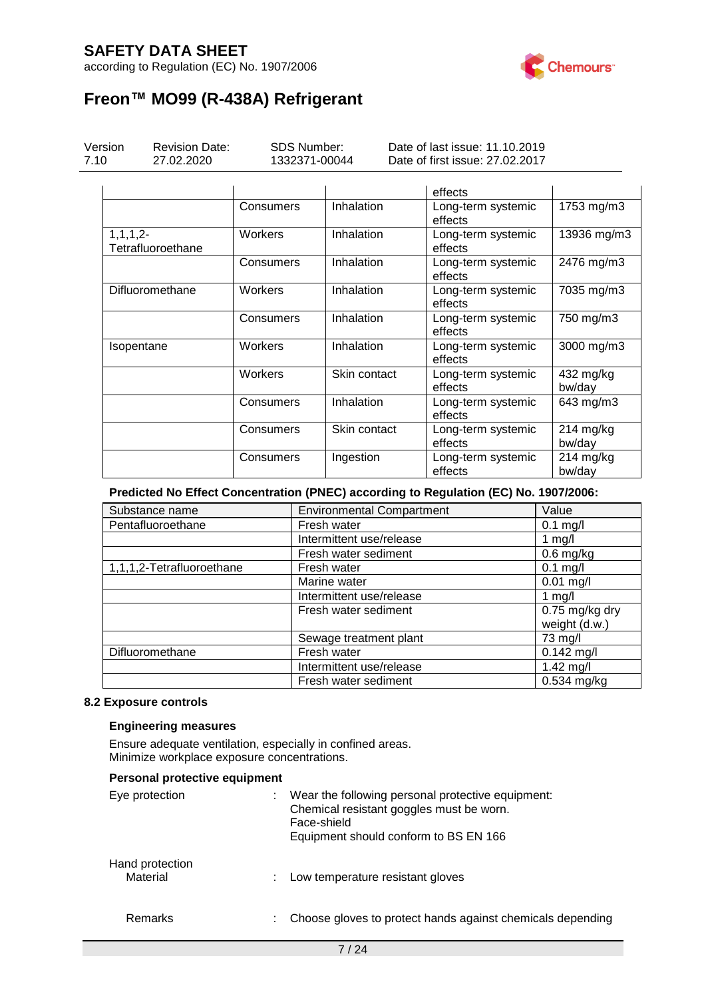according to Regulation (EC) No. 1907/2006



# **Freon™ MO99 (R-438A) Refrigerant**

| Version<br>7.10 | <b>Revision Date:</b><br>27.02.2020 | <b>SDS Number:</b><br>1332371-00044 |              | Date of last issue: 11.10.2019<br>Date of first issue: 27.02.2017 |                       |
|-----------------|-------------------------------------|-------------------------------------|--------------|-------------------------------------------------------------------|-----------------------|
|                 |                                     |                                     |              | effects                                                           |                       |
|                 |                                     | Consumers                           | Inhalation   | Long-term systemic<br>effects                                     | 1753 mg/m3            |
| $1, 1, 1, 2-$   | Tetrafluoroethane                   | Workers                             | Inhalation   | Long-term systemic<br>effects                                     | 13936 mg/m3           |
|                 |                                     | Consumers                           | Inhalation   | Long-term systemic<br>effects                                     | 2476 mg/m3            |
|                 | Difluoromethane                     | Workers                             | Inhalation   | Long-term systemic<br>effects                                     | 7035 mg/m3            |
|                 |                                     | Consumers                           | Inhalation   | Long-term systemic<br>effects                                     | 750 mg/m3             |
| Isopentane      |                                     | Workers                             | Inhalation   | Long-term systemic<br>effects                                     | 3000 mg/m3            |
|                 |                                     | Workers                             | Skin contact | Long-term systemic<br>effects                                     | 432 mg/kg<br>bw/day   |
|                 |                                     | Consumers                           | Inhalation   | Long-term systemic<br>effects                                     | 643 mg/m3             |
|                 |                                     | Consumers                           | Skin contact | Long-term systemic<br>effects                                     | $214$ mg/kg<br>bw/day |
|                 |                                     | Consumers                           | Ingestion    | Long-term systemic<br>effects                                     | $214$ mg/kg<br>bw/day |

**Predicted No Effect Concentration (PNEC) according to Regulation (EC) No. 1907/2006:**

| Substance name            | <b>Environmental Compartment</b><br>Value |                                 |  |
|---------------------------|-------------------------------------------|---------------------------------|--|
| Pentafluoroethane         | Fresh water                               | $0.1$ mg/l                      |  |
|                           | Intermittent use/release                  | 1 $mg/l$                        |  |
|                           | Fresh water sediment                      | $0.6$ mg/kg                     |  |
| 1,1,1,2-Tetrafluoroethane | Fresh water                               | $0.1$ mg/l                      |  |
|                           | Marine water                              | $0.01$ mg/l                     |  |
|                           | Intermittent use/release                  | 1 mg/l                          |  |
|                           | Fresh water sediment                      | 0.75 mg/kg dry<br>weight (d.w.) |  |
|                           | Sewage treatment plant                    | 73 mg/l                         |  |
| Difluoromethane           | Fresh water                               | $0.142$ mg/l                    |  |
|                           | Intermittent use/release                  | 1.42 $mg/l$                     |  |
|                           | Fresh water sediment                      | 0.534 mg/kg                     |  |

#### **8.2 Exposure controls**

#### **Engineering measures**

Ensure adequate ventilation, especially in confined areas. Minimize workplace exposure concentrations.

| Personal protective equipment |                                                                                                                                                       |
|-------------------------------|-------------------------------------------------------------------------------------------------------------------------------------------------------|
| Eye protection                | Wear the following personal protective equipment:<br>Chemical resistant goggles must be worn.<br>Face-shield<br>Equipment should conform to BS EN 166 |
| Hand protection<br>Material   | Low temperature resistant gloves                                                                                                                      |
| Remarks                       | Choose gloves to protect hands against chemicals depending                                                                                            |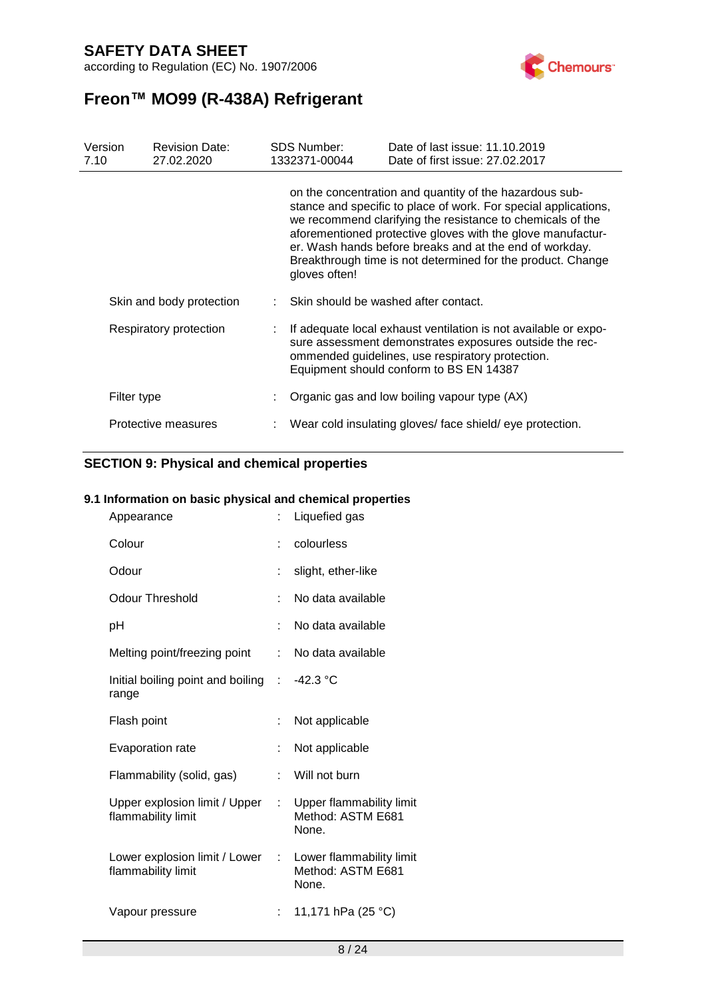according to Regulation (EC) No. 1907/2006



# **Freon™ MO99 (R-438A) Refrigerant**

| Version<br>7.10 | <b>Revision Date:</b><br>27.02.2020 | <b>SDS Number:</b><br>1332371-00044 | Date of last issue: 11.10.2019<br>Date of first issue: 27,02,2017                                                                                                                                                                                                                                                                                                                 |
|-----------------|-------------------------------------|-------------------------------------|-----------------------------------------------------------------------------------------------------------------------------------------------------------------------------------------------------------------------------------------------------------------------------------------------------------------------------------------------------------------------------------|
|                 |                                     | gloves often!                       | on the concentration and quantity of the hazardous sub-<br>stance and specific to place of work. For special applications,<br>we recommend clarifying the resistance to chemicals of the<br>aforementioned protective gloves with the glove manufactur-<br>er. Wash hands before breaks and at the end of workday.<br>Breakthrough time is not determined for the product. Change |
|                 | Skin and body protection            |                                     | : Skin should be washed after contact.                                                                                                                                                                                                                                                                                                                                            |
|                 | Respiratory protection              |                                     | If adequate local exhaust ventilation is not available or expo-<br>sure assessment demonstrates exposures outside the rec-<br>ommended guidelines, use respiratory protection.<br>Equipment should conform to BS EN 14387                                                                                                                                                         |
|                 | Filter type                         |                                     | Organic gas and low boiling vapour type (AX)                                                                                                                                                                                                                                                                                                                                      |
|                 | Protective measures                 |                                     | Wear cold insulating gloves/ face shield/ eye protection.                                                                                                                                                                                                                                                                                                                         |

#### **SECTION 9: Physical and chemical properties**

#### **9.1 Information on basic physical and chemical properties**

| Appearance                                                                     | t. | Liquefied gas                                          |
|--------------------------------------------------------------------------------|----|--------------------------------------------------------|
| Colour                                                                         |    | colourless                                             |
| Odour                                                                          | ÷  | slight, ether-like                                     |
| <b>Odour Threshold</b>                                                         | ۰  | No data available                                      |
| pH                                                                             | ÷. | No data available                                      |
| Melting point/freezing point                                                   | t. | No data available                                      |
| Initial boiling point and boiling : -42.3 °C<br>range                          |    |                                                        |
| Flash point                                                                    | ÷  | Not applicable                                         |
| Evaporation rate                                                               | t  | Not applicable                                         |
| Flammability (solid, gas)                                                      | t. | Will not burn                                          |
| Upper explosion limit / Upper :<br>flammability limit                          |    | Upper flammability limit<br>Method: ASTM E681<br>None. |
| Lower explosion limit / Lower : Lower flammability limit<br>flammability limit |    | Method: ASTM E681<br>None.                             |
| Vapour pressure                                                                |    | 11,171 hPa (25 °C)                                     |
|                                                                                |    |                                                        |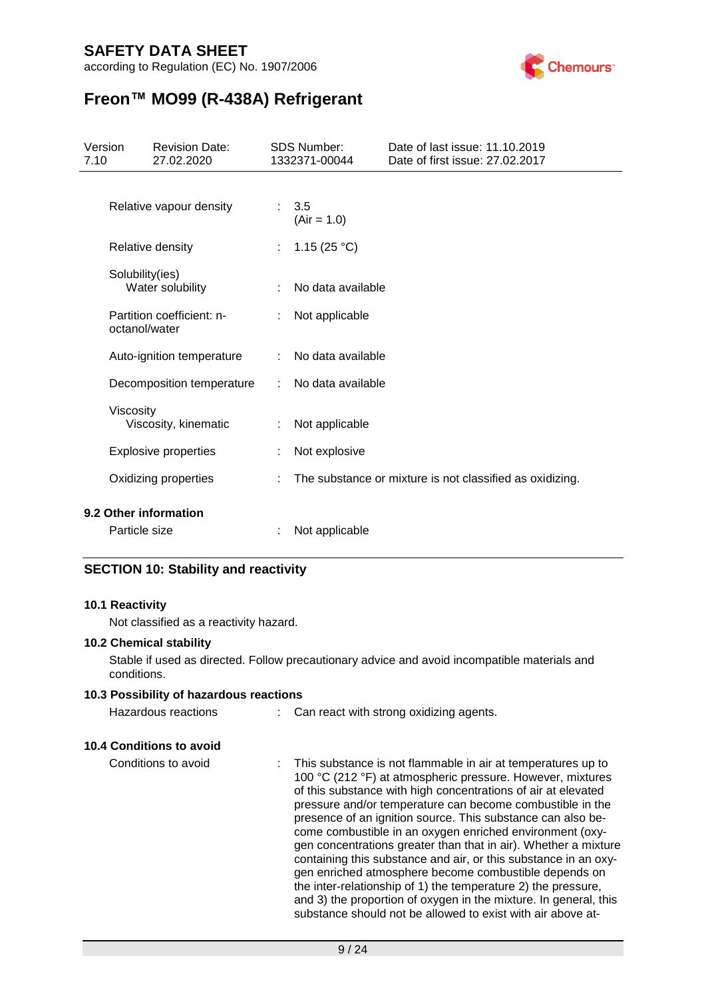according to Regulation (EC) No. 1907/2006



# **Freon™ MO99 (R-438A) Refrigerant**

| Version<br>7.10 |                 | <b>Revision Date:</b><br>27.02.2020 |    | <b>SDS Number:</b><br>1332371-00044 | Date of last issue: 11.10.2019<br>Date of first issue: 27,02,2017 |
|-----------------|-----------------|-------------------------------------|----|-------------------------------------|-------------------------------------------------------------------|
|                 |                 | Relative vapour density             | t. | 3.5<br>$(Air = 1.0)$                |                                                                   |
|                 |                 | Relative density                    | t. | 1.15 $(25 °C)$                      |                                                                   |
|                 | Solubility(ies) | Water solubility                    | t. | No data available                   |                                                                   |
|                 | octanol/water   | Partition coefficient: n-           | ÷. | Not applicable                      |                                                                   |
|                 |                 | Auto-ignition temperature           | ÷  | No data available                   |                                                                   |
|                 |                 | Decomposition temperature           | ÷. | No data available                   |                                                                   |
|                 | Viscosity       | Viscosity, kinematic                |    | Not applicable                      |                                                                   |
|                 |                 | <b>Explosive properties</b>         | t. | Not explosive                       |                                                                   |
|                 |                 | Oxidizing properties                |    |                                     | The substance or mixture is not classified as oxidizing.          |
|                 |                 | 9.2 Other information               |    |                                     |                                                                   |
|                 | Particle size   |                                     |    | Not applicable                      |                                                                   |

#### **SECTION 10: Stability and reactivity**

#### **10.1 Reactivity**

Not classified as a reactivity hazard.

#### **10.2 Chemical stability**

Stable if used as directed. Follow precautionary advice and avoid incompatible materials and conditions.

#### **10.3 Possibility of hazardous reactions**

| Hazardous reactions |  | Can react with strong oxidizing agents. |
|---------------------|--|-----------------------------------------|
|---------------------|--|-----------------------------------------|

#### **10.4 Conditions to avoid**

Conditions to avoid : This substance is not flammable in air at temperatures up to 100 °C (212 °F) at atmospheric pressure. However, mixtures of this substance with high concentrations of air at elevated pressure and/or temperature can become combustible in the presence of an ignition source. This substance can also become combustible in an oxygen enriched environment (oxygen concentrations greater than that in air). Whether a mixture containing this substance and air, or this substance in an oxygen enriched atmosphere become combustible depends on the inter-relationship of 1) the temperature 2) the pressure, and 3) the proportion of oxygen in the mixture. In general, this substance should not be allowed to exist with air above at-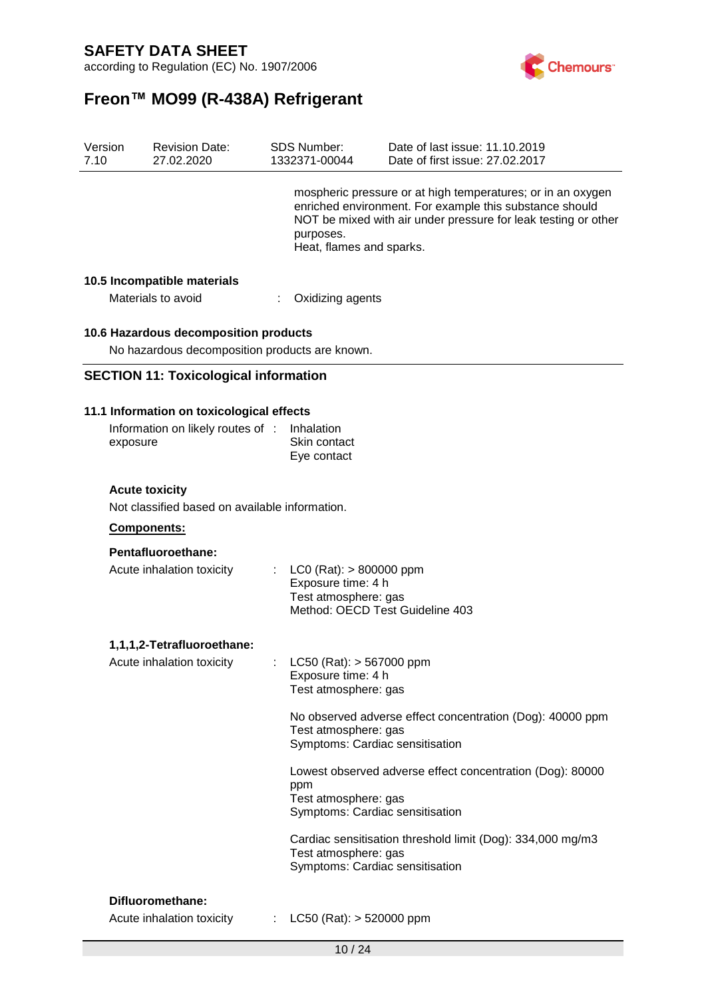according to Regulation (EC) No. 1907/2006



# **Freon™ MO99 (R-438A) Refrigerant**

| Version<br>7.10 | <b>Revision Date:</b><br>27.02.2020                                                        | SDS Number:<br>1332371-00044                                                                               | Date of last issue: 11.10.2019<br>Date of first issue: 27.02.2017                                                                                                                        |
|-----------------|--------------------------------------------------------------------------------------------|------------------------------------------------------------------------------------------------------------|------------------------------------------------------------------------------------------------------------------------------------------------------------------------------------------|
|                 |                                                                                            | purposes.<br>Heat, flames and sparks.                                                                      | mospheric pressure or at high temperatures; or in an oxygen<br>enriched environment. For example this substance should<br>NOT be mixed with air under pressure for leak testing or other |
|                 | 10.5 Incompatible materials<br>Materials to avoid                                          | Oxidizing agents                                                                                           |                                                                                                                                                                                          |
|                 | 10.6 Hazardous decomposition products<br>No hazardous decomposition products are known.    |                                                                                                            |                                                                                                                                                                                          |
|                 | <b>SECTION 11: Toxicological information</b>                                               |                                                                                                            |                                                                                                                                                                                          |
|                 | 11.1 Information on toxicological effects<br>Information on likely routes of :<br>exposure | Inhalation<br>Skin contact<br>Eye contact                                                                  |                                                                                                                                                                                          |
|                 | <b>Acute toxicity</b><br>Not classified based on available information.                    |                                                                                                            |                                                                                                                                                                                          |
|                 | Components:                                                                                |                                                                                                            |                                                                                                                                                                                          |
|                 | Pentafluoroethane:<br>Acute inhalation toxicity                                            | $LCO (Rat): > 800000$ ppm<br>Exposure time: 4 h<br>Test atmosphere: gas<br>Method: OECD Test Guideline 403 |                                                                                                                                                                                          |
|                 | 1,1,1,2-Tetrafluoroethane:<br>Acute inhalation toxicity                                    | LC50 (Rat): > 567000 ppm<br>Exposure time: 4 h<br>Test atmosphere: gas                                     |                                                                                                                                                                                          |
|                 |                                                                                            | Test atmosphere: gas<br>Symptoms: Cardiac sensitisation                                                    | No observed adverse effect concentration (Dog): 40000 ppm                                                                                                                                |
|                 |                                                                                            | ppm<br>Test atmosphere: gas<br>Symptoms: Cardiac sensitisation                                             | Lowest observed adverse effect concentration (Dog): 80000                                                                                                                                |
|                 |                                                                                            | Test atmosphere: gas<br>Symptoms: Cardiac sensitisation                                                    | Cardiac sensitisation threshold limit (Dog): 334,000 mg/m3                                                                                                                               |
|                 | Difluoromethane:                                                                           |                                                                                                            |                                                                                                                                                                                          |
|                 |                                                                                            |                                                                                                            |                                                                                                                                                                                          |

Acute inhalation toxicity : LC50 (Rat): > 520000 ppm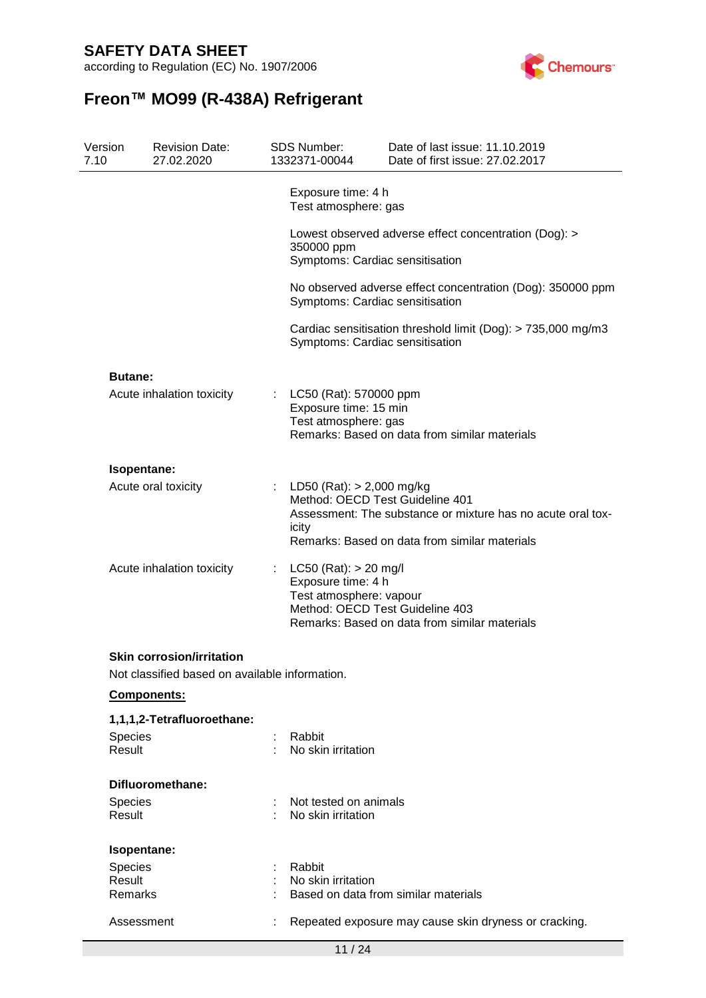according to Regulation (EC) No. 1907/2006



| Version<br>7.10   | <b>Revision Date:</b><br>27.02.2020                                                                    | <b>SDS Number:</b><br>1332371-00044                                        | Date of last issue: 11.10.2019<br>Date of first issue: 27.02.2017                                                                               |  |  |  |
|-------------------|--------------------------------------------------------------------------------------------------------|----------------------------------------------------------------------------|-------------------------------------------------------------------------------------------------------------------------------------------------|--|--|--|
|                   |                                                                                                        | Exposure time: 4 h<br>Test atmosphere: gas                                 |                                                                                                                                                 |  |  |  |
|                   | Lowest observed adverse effect concentration (Dog): ><br>350000 ppm<br>Symptoms: Cardiac sensitisation |                                                                            |                                                                                                                                                 |  |  |  |
|                   |                                                                                                        |                                                                            | No observed adverse effect concentration (Dog): 350000 ppm<br>Symptoms: Cardiac sensitisation                                                   |  |  |  |
|                   |                                                                                                        |                                                                            | Cardiac sensitisation threshold limit (Dog): > 735,000 mg/m3<br>Symptoms: Cardiac sensitisation                                                 |  |  |  |
| <b>Butane:</b>    |                                                                                                        |                                                                            |                                                                                                                                                 |  |  |  |
|                   | Acute inhalation toxicity                                                                              | LC50 (Rat): 570000 ppm<br>Exposure time: 15 min<br>Test atmosphere: gas    | Remarks: Based on data from similar materials                                                                                                   |  |  |  |
|                   | Isopentane:                                                                                            |                                                                            |                                                                                                                                                 |  |  |  |
|                   | Acute oral toxicity                                                                                    | LD50 (Rat): $> 2,000$ mg/kg<br>icity                                       | Method: OECD Test Guideline 401<br>Assessment: The substance or mixture has no acute oral tox-<br>Remarks: Based on data from similar materials |  |  |  |
|                   | Acute inhalation toxicity                                                                              | $LC50$ (Rat): $> 20$ mg/l<br>Exposure time: 4 h<br>Test atmosphere: vapour | Method: OECD Test Guideline 403<br>Remarks: Based on data from similar materials                                                                |  |  |  |
|                   | <b>Skin corrosion/irritation</b><br>Not classified based on available information.                     |                                                                            |                                                                                                                                                 |  |  |  |
|                   | <b>Components:</b>                                                                                     |                                                                            |                                                                                                                                                 |  |  |  |
|                   | 1,1,1,2-Tetrafluoroethane:                                                                             |                                                                            |                                                                                                                                                 |  |  |  |
| Species<br>Result |                                                                                                        | Rabbit<br>No skin irritation                                               |                                                                                                                                                 |  |  |  |
|                   | Difluoromethane:                                                                                       |                                                                            |                                                                                                                                                 |  |  |  |
| Species           |                                                                                                        | Not tested on animals                                                      |                                                                                                                                                 |  |  |  |
| Result            |                                                                                                        | No skin irritation                                                         |                                                                                                                                                 |  |  |  |
|                   | Isopentane:                                                                                            |                                                                            |                                                                                                                                                 |  |  |  |
| Species           |                                                                                                        | Rabbit                                                                     |                                                                                                                                                 |  |  |  |
| Result            |                                                                                                        | No skin irritation                                                         |                                                                                                                                                 |  |  |  |
| Remarks           |                                                                                                        |                                                                            | Based on data from similar materials                                                                                                            |  |  |  |
|                   | Assessment                                                                                             |                                                                            | Repeated exposure may cause skin dryness or cracking.                                                                                           |  |  |  |
|                   |                                                                                                        | 11/24                                                                      |                                                                                                                                                 |  |  |  |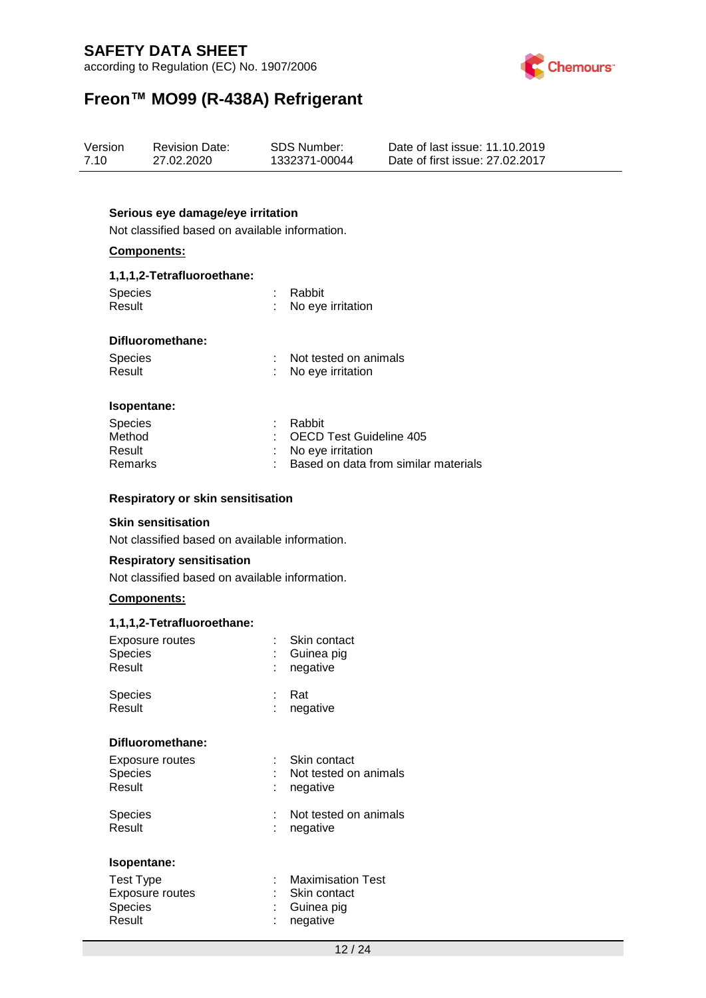according to Regulation (EC) No. 1907/2006



# **Freon™ MO99 (R-438A) Refrigerant**

| Version | <b>Revision Date:</b> | SDS Number:   | Date of last issue: 11.10.2019  |
|---------|-----------------------|---------------|---------------------------------|
| 7.10    | 27.02.2020            | 1332371-00044 | Date of first issue: 27,02,2017 |

#### **Serious eye damage/eye irritation**

Not classified based on available information.

#### **Components:**

#### **1,1,1,2-Tetrafluoroethane:**

| <b>Species</b> | : Rabbit            |
|----------------|---------------------|
| Result         | : No eye irritation |

#### **Difluoromethane:**

| <b>Species</b>     | : Not tested on animals         |
|--------------------|---------------------------------|
| Result             | : No eye irritation             |
|                    |                                 |
| <b>Isopentane:</b> |                                 |
| <b>Species</b>     | Rabbit                          |
| Method             | $\cdot$ OFCD Test Guideline 405 |

| Method  | : OECD Test Guideline 405              |
|---------|----------------------------------------|
| Result  | : No eye irritation                    |
| Remarks | : Based on data from similar materials |

#### **Respiratory or skin sensitisation**

#### **Skin sensitisation**

Not classified based on available information.

#### **Respiratory sensitisation**

Not classified based on available information.

#### **Components:**

#### **1,1,1,2-Tetrafluoroethane:**

| Exposure routes<br><b>Species</b><br>Result                  | Skin contact<br>Guinea pig<br>negative                 |
|--------------------------------------------------------------|--------------------------------------------------------|
| <b>Species</b><br>Result                                     | Rat<br>negative                                        |
| Difluoromethane:                                             |                                                        |
| Exposure routes<br><b>Species</b><br>Result                  | Skin contact<br>Not tested on animals<br>negative      |
| <b>Species</b><br>Result                                     | Not tested on animals<br>negative                      |
| Isopentane:                                                  |                                                        |
| <b>Test Type</b><br><b>Exposure routes</b><br><b>Species</b> | <b>Maximisation Test</b><br>Skin contact<br>Guinea pig |
| Result                                                       | negative                                               |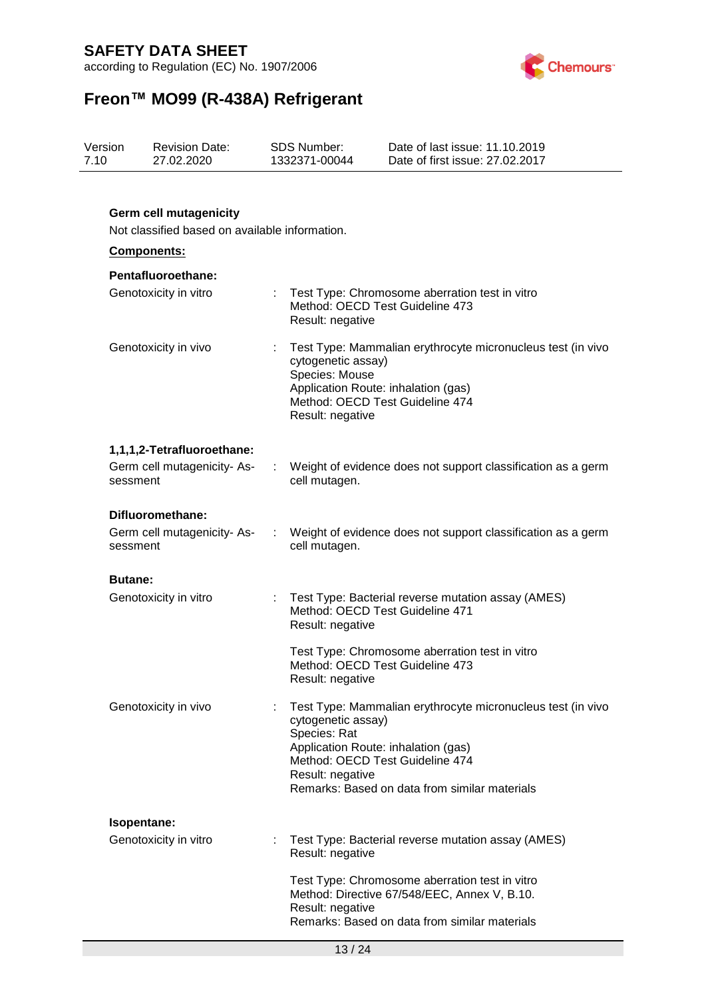according to Regulation (EC) No. 1907/2006



| Version<br>7.10 | <b>Revision Date:</b><br>27.02.2020                                             | <b>SDS Number:</b><br>1332371-00044                                                                                                | Date of last issue: 11.10.2019<br>Date of first issue: 27,02,2017                                                                               |
|-----------------|---------------------------------------------------------------------------------|------------------------------------------------------------------------------------------------------------------------------------|-------------------------------------------------------------------------------------------------------------------------------------------------|
|                 | <b>Germ cell mutagenicity</b><br>Not classified based on available information. |                                                                                                                                    |                                                                                                                                                 |
|                 | <b>Components:</b>                                                              |                                                                                                                                    |                                                                                                                                                 |
|                 | <b>Pentafluoroethane:</b>                                                       |                                                                                                                                    |                                                                                                                                                 |
|                 | Genotoxicity in vitro                                                           | Method: OECD Test Guideline 473<br>Result: negative                                                                                | Test Type: Chromosome aberration test in vitro                                                                                                  |
|                 | Genotoxicity in vivo                                                            | cytogenetic assay)<br>Species: Mouse<br>Application Route: inhalation (gas)<br>Method: OECD Test Guideline 474<br>Result: negative | Test Type: Mammalian erythrocyte micronucleus test (in vivo                                                                                     |
|                 | 1,1,1,2-Tetrafluoroethane:                                                      |                                                                                                                                    |                                                                                                                                                 |
|                 | Germ cell mutagenicity-As-<br>sessment                                          | cell mutagen.                                                                                                                      | Weight of evidence does not support classification as a germ                                                                                    |
|                 | Difluoromethane:<br>Germ cell mutagenicity-As-<br>sessment                      | cell mutagen.                                                                                                                      | Weight of evidence does not support classification as a germ                                                                                    |
| <b>Butane:</b>  |                                                                                 |                                                                                                                                    |                                                                                                                                                 |
|                 | Genotoxicity in vitro                                                           | Method: OECD Test Guideline 471<br>Result: negative                                                                                | Test Type: Bacterial reverse mutation assay (AMES)                                                                                              |
|                 |                                                                                 | Method: OECD Test Guideline 473<br>Result: negative                                                                                | Test Type: Chromosome aberration test in vitro                                                                                                  |
|                 | Genotoxicity in vivo                                                            | cytogenetic assay)<br>Species: Rat<br>Application Route: inhalation (gas)<br>Method: OECD Test Guideline 474<br>Result: negative   | Test Type: Mammalian erythrocyte micronucleus test (in vivo<br>Remarks: Based on data from similar materials                                    |
|                 | Isopentane:                                                                     |                                                                                                                                    |                                                                                                                                                 |
|                 | Genotoxicity in vitro                                                           | Result: negative                                                                                                                   | Test Type: Bacterial reverse mutation assay (AMES)                                                                                              |
|                 |                                                                                 | Result: negative                                                                                                                   | Test Type: Chromosome aberration test in vitro<br>Method: Directive 67/548/EEC, Annex V, B.10.<br>Remarks: Based on data from similar materials |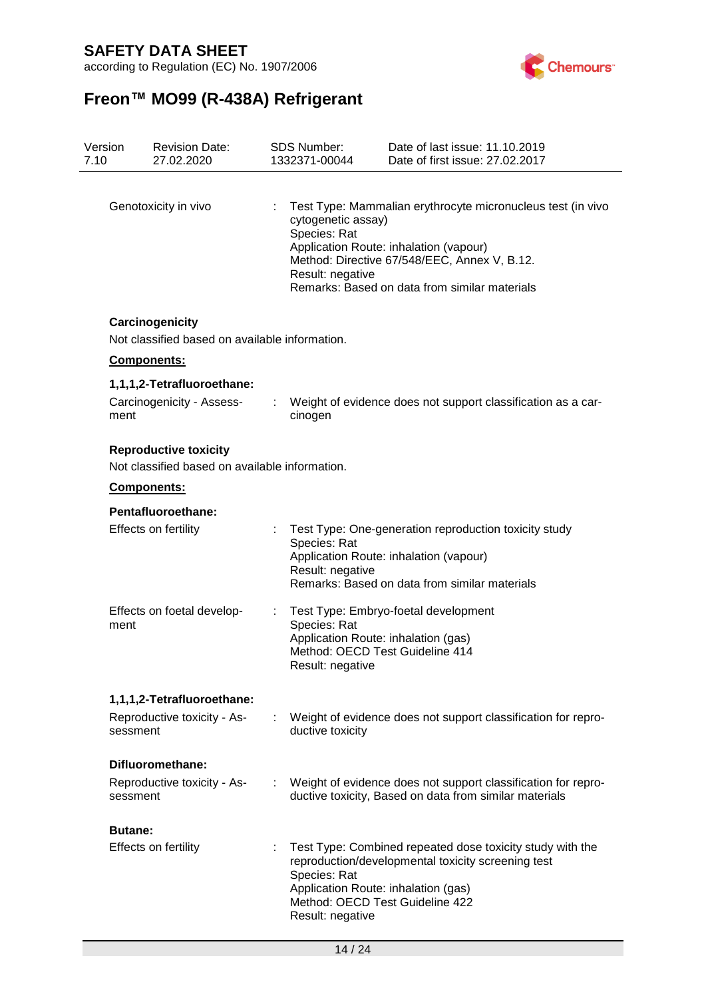according to Regulation (EC) No. 1907/2006



| Version<br>7.10 | <b>Revision Date:</b><br>27.02.2020                                            |                            | <b>SDS Number:</b><br>1332371-00044                    | Date of last issue: 11.10.2019<br>Date of first issue: 27.02.2017                                                                                                                                      |
|-----------------|--------------------------------------------------------------------------------|----------------------------|--------------------------------------------------------|--------------------------------------------------------------------------------------------------------------------------------------------------------------------------------------------------------|
|                 |                                                                                |                            |                                                        |                                                                                                                                                                                                        |
|                 | Genotoxicity in vivo                                                           |                            | cytogenetic assay)<br>Species: Rat<br>Result: negative | Test Type: Mammalian erythrocyte micronucleus test (in vivo<br>Application Route: inhalation (vapour)<br>Method: Directive 67/548/EEC, Annex V, B.12.<br>Remarks: Based on data from similar materials |
|                 | Carcinogenicity<br>Not classified based on available information.              |                            |                                                        |                                                                                                                                                                                                        |
|                 | <b>Components:</b>                                                             |                            |                                                        |                                                                                                                                                                                                        |
| ment            | 1,1,1,2-Tetrafluoroethane:<br>Carcinogenicity - Assess-                        |                            | cinogen                                                | Weight of evidence does not support classification as a car-                                                                                                                                           |
|                 | <b>Reproductive toxicity</b><br>Not classified based on available information. |                            |                                                        |                                                                                                                                                                                                        |
|                 | Components:                                                                    |                            |                                                        |                                                                                                                                                                                                        |
|                 | Pentafluoroethane:                                                             |                            |                                                        |                                                                                                                                                                                                        |
|                 | Effects on fertility                                                           |                            | Species: Rat<br>Result: negative                       | Test Type: One-generation reproduction toxicity study<br>Application Route: inhalation (vapour)<br>Remarks: Based on data from similar materials                                                       |
| ment            | Effects on foetal develop-                                                     |                            | Species: Rat<br>Result: negative                       | Test Type: Embryo-foetal development<br>Application Route: inhalation (gas)<br>Method: OECD Test Guideline 414                                                                                         |
|                 | 1,1,1,2-Tetrafluoroethane:                                                     |                            |                                                        |                                                                                                                                                                                                        |
| sessment        | Reproductive toxicity - As-                                                    | $\mathbb{R}^n$             | ductive toxicity                                       | Weight of evidence does not support classification for repro-                                                                                                                                          |
|                 | Difluoromethane:                                                               |                            |                                                        |                                                                                                                                                                                                        |
| sessment        | Reproductive toxicity - As-                                                    | $\mathcal{L}^{\text{max}}$ |                                                        | Weight of evidence does not support classification for repro-<br>ductive toxicity, Based on data from similar materials                                                                                |
| <b>Butane:</b>  |                                                                                |                            |                                                        |                                                                                                                                                                                                        |
|                 | Effects on fertility                                                           |                            | Species: Rat<br>Result: negative                       | Test Type: Combined repeated dose toxicity study with the<br>reproduction/developmental toxicity screening test<br>Application Route: inhalation (gas)<br>Method: OECD Test Guideline 422              |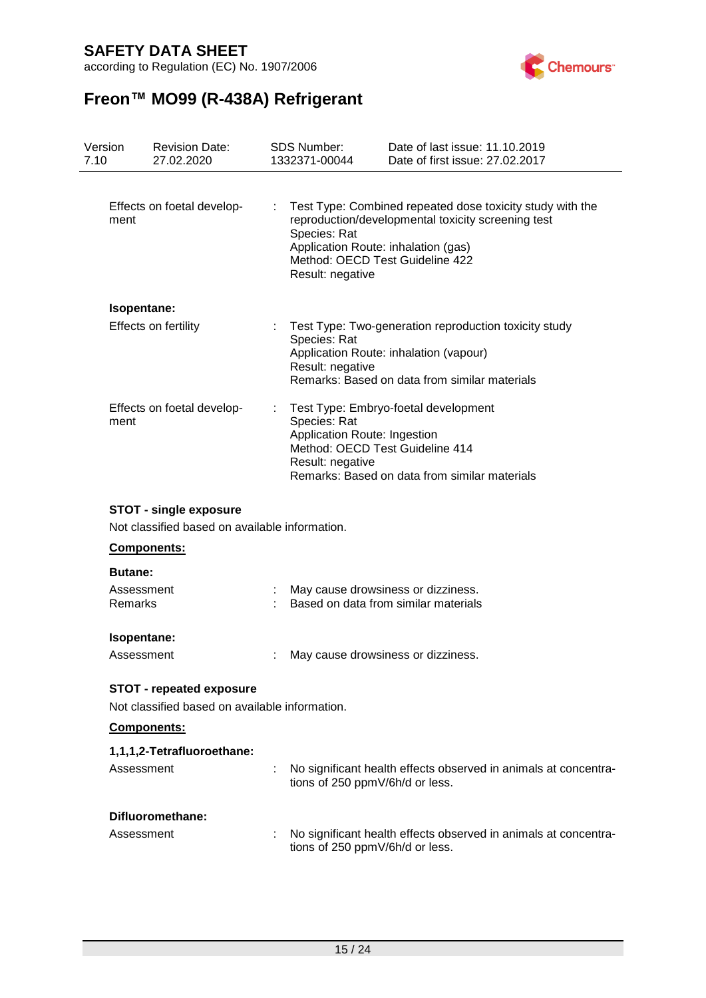according to Regulation (EC) No. 1907/2006



| Version<br>7.10           | <b>Revision Date:</b><br>27.02.2020                                               |   | <b>SDS Number:</b><br>1332371-00044                              | Date of last issue: 11.10.2019<br>Date of first issue: 27.02.2017                                                                                                                         |
|---------------------------|-----------------------------------------------------------------------------------|---|------------------------------------------------------------------|-------------------------------------------------------------------------------------------------------------------------------------------------------------------------------------------|
| ment                      | Effects on foetal develop-                                                        | ÷ | Species: Rat<br>Result: negative                                 | Test Type: Combined repeated dose toxicity study with the<br>reproduction/developmental toxicity screening test<br>Application Route: inhalation (gas)<br>Method: OECD Test Guideline 422 |
|                           | Isopentane:                                                                       |   |                                                                  |                                                                                                                                                                                           |
|                           | Effects on fertility                                                              |   | Species: Rat<br>Result: negative                                 | : Test Type: Two-generation reproduction toxicity study<br>Application Route: inhalation (vapour)<br>Remarks: Based on data from similar materials                                        |
| ment                      | Effects on foetal develop-                                                        |   | Species: Rat<br>Application Route: Ingestion<br>Result: negative | Test Type: Embryo-foetal development<br>Method: OECD Test Guideline 414<br>Remarks: Based on data from similar materials                                                                  |
|                           | <b>STOT - single exposure</b><br>Not classified based on available information.   |   |                                                                  |                                                                                                                                                                                           |
|                           | <b>Components:</b>                                                                |   |                                                                  |                                                                                                                                                                                           |
| <b>Butane:</b><br>Remarks | Assessment                                                                        |   |                                                                  | May cause drowsiness or dizziness.<br>Based on data from similar materials                                                                                                                |
|                           | Isopentane:<br>Assessment                                                         |   |                                                                  | May cause drowsiness or dizziness.                                                                                                                                                        |
|                           | <b>STOT - repeated exposure</b><br>Not classified based on available information. |   |                                                                  |                                                                                                                                                                                           |
|                           | Components:                                                                       |   |                                                                  |                                                                                                                                                                                           |
|                           | 1,1,1,2-Tetrafluoroethane:                                                        |   |                                                                  |                                                                                                                                                                                           |
|                           | Assessment                                                                        |   | tions of 250 ppmV/6h/d or less.                                  | No significant health effects observed in animals at concentra-                                                                                                                           |
|                           | Difluoromethane:                                                                  |   |                                                                  |                                                                                                                                                                                           |

| Assessment | No significant health effects observed in animals at concentra- |
|------------|-----------------------------------------------------------------|
|            | tions of 250 ppmV/6h/d or less.                                 |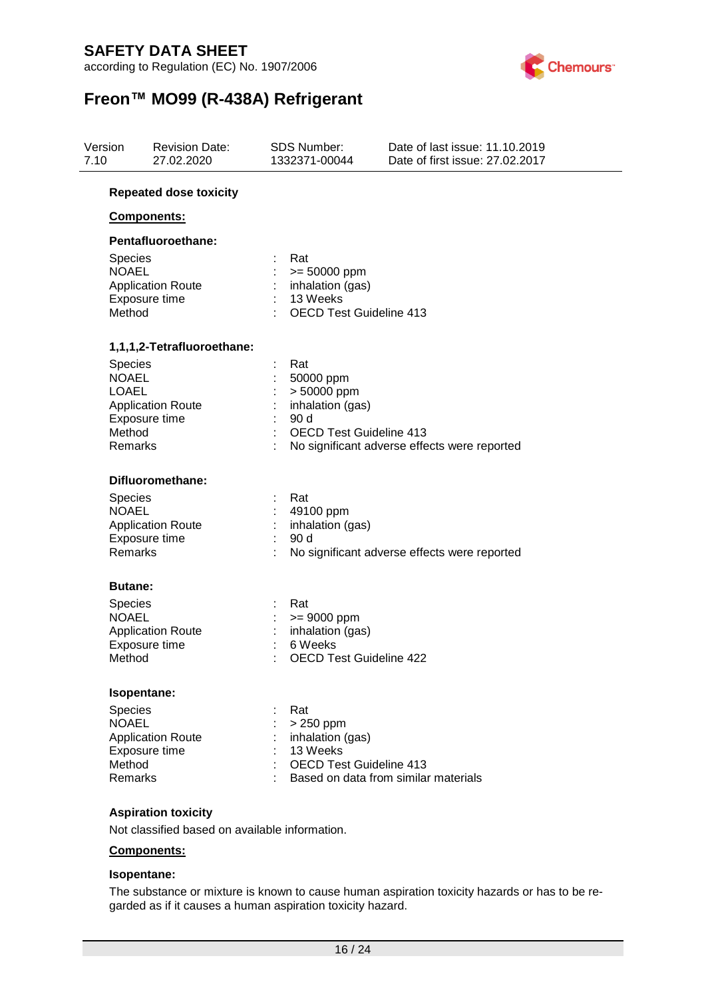according to Regulation (EC) No. 1907/2006



# **Freon™ MO99 (R-438A) Refrigerant**

| Version<br><b>Revision Date:</b><br>7.10<br>27.02.2020 |                                                             | SDS Number:<br>1332371-00044                                                                       | Date of last issue: 11.10.2019<br>Date of first issue: 27.02.2017 |  |
|--------------------------------------------------------|-------------------------------------------------------------|----------------------------------------------------------------------------------------------------|-------------------------------------------------------------------|--|
|                                                        | <b>Repeated dose toxicity</b>                               |                                                                                                    |                                                                   |  |
|                                                        | <b>Components:</b>                                          |                                                                                                    |                                                                   |  |
|                                                        | Pentafluoroethane:                                          |                                                                                                    |                                                                   |  |
| <b>Species</b><br><b>NOAEL</b><br>Method               | <b>Application Route</b><br>Exposure time                   | Rat<br>$>= 50000$ ppm<br>inhalation (gas)<br>13 Weeks<br><b>OECD Test Guideline 413</b>            |                                                                   |  |
|                                                        | 1,1,1,2-Tetrafluoroethane:                                  |                                                                                                    |                                                                   |  |
| Species<br><b>NOAEL</b><br><b>LOAEL</b><br>Method      | <b>Application Route</b><br>Exposure time<br>Remarks        | Rat<br>÷<br>50000 ppm<br>> 50000 ppm<br>inhalation (gas)<br>90 d<br><b>OECD Test Guideline 413</b> | No significant adverse effects were reported                      |  |
|                                                        | Difluoromethane:                                            |                                                                                                    |                                                                   |  |
| Species<br><b>NOAEL</b>                                | <b>Application Route</b><br>Exposure time<br><b>Remarks</b> | Rat<br>49100 ppm<br>inhalation (gas)<br>90d                                                        | No significant adverse effects were reported                      |  |
|                                                        | <b>Butane:</b>                                              |                                                                                                    |                                                                   |  |
| Species<br><b>NOAEL</b><br>Method                      | <b>Application Route</b><br>Exposure time                   | Rat<br>$>= 9000$ ppm<br>inhalation (gas)<br>6 Weeks<br><b>OECD Test Guideline 422</b>              |                                                                   |  |
|                                                        | Isopentane:                                                 |                                                                                                    |                                                                   |  |
| Species<br><b>NOAEL</b><br>Method                      | <b>Application Route</b><br>Exposure time<br><b>Remarks</b> | Rat<br>> 250 ppm<br>inhalation (gas)<br>13 Weeks<br><b>OECD Test Guideline 413</b>                 | Based on data from similar materials                              |  |
|                                                        | Aeniration tovicity                                         |                                                                                                    |                                                                   |  |

#### **Aspiration toxicity**

Not classified based on available information.

#### **Components:**

#### **Isopentane:**

The substance or mixture is known to cause human aspiration toxicity hazards or has to be regarded as if it causes a human aspiration toxicity hazard.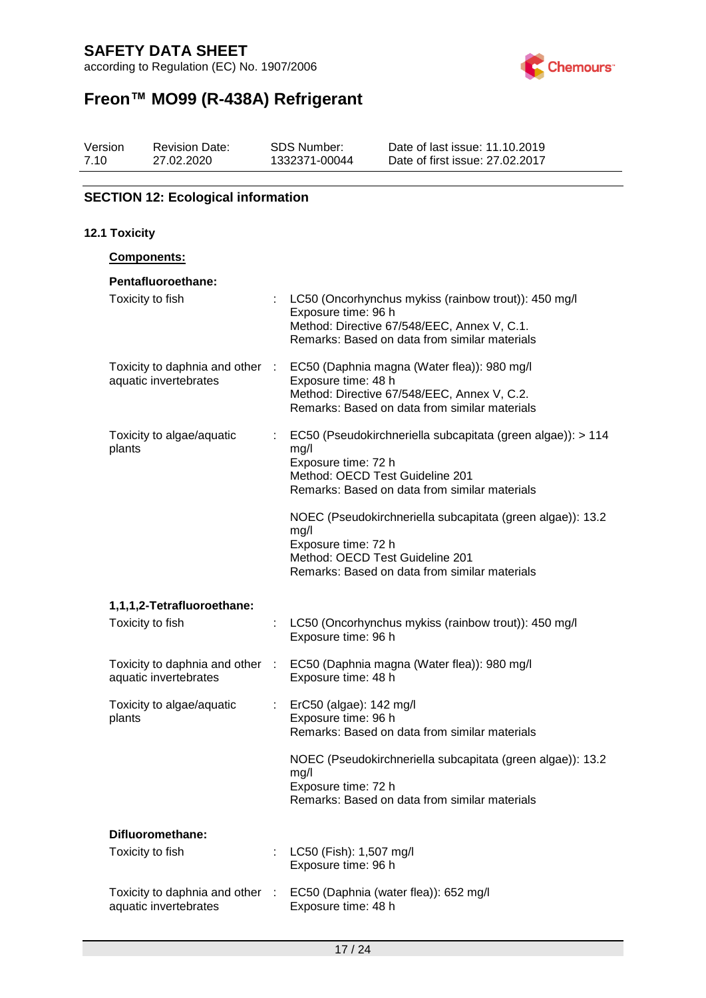according to Regulation (EC) No. 1907/2006



# **Freon™ MO99 (R-438A) Refrigerant**

| Version | <b>Revision Date:</b> | SDS Number:   | Date of last issue: 11.10.2019  |
|---------|-----------------------|---------------|---------------------------------|
| 7.10    | 27.02.2020            | 1332371-00044 | Date of first issue: 27,02,2017 |

#### **SECTION 12: Ecological information**

#### **12.1 Toxicity Components: Pentafluoroethane:** Toxicity to fish : LC50 (Oncorhynchus mykiss (rainbow trout): 450 mg/l Exposure time: 96 h Method: Directive 67/548/EEC, Annex V, C.1. Remarks: Based on data from similar materials Toxicity to daphnia and other aquatic invertebrates : EC50 (Daphnia magna (Water flea)): 980 mg/l Exposure time: 48 h Method: Directive 67/548/EEC, Annex V, C.2. Remarks: Based on data from similar materials Toxicity to algae/aquatic plants : EC50 (Pseudokirchneriella subcapitata (green algae)): > 114 mg/l Exposure time: 72 h Method: OECD Test Guideline 201 Remarks: Based on data from similar materials NOEC (Pseudokirchneriella subcapitata (green algae)): 13.2 mg/l Exposure time: 72 h Method: OECD Test Guideline 201 Remarks: Based on data from similar materials **1,1,1,2-Tetrafluoroethane:** Toxicity to fish : LC50 (Oncorhynchus mykiss (rainbow trout)): 450 mg/l Exposure time: 96 h Toxicity to daphnia and other aquatic invertebrates : EC50 (Daphnia magna (Water flea)): 980 mg/l Exposure time: 48 h Toxicity to algae/aquatic plants : ErC50 (algae): 142 mg/l Exposure time: 96 h Remarks: Based on data from similar materials NOEC (Pseudokirchneriella subcapitata (green algae)): 13.2 mg/l Exposure time: 72 h Remarks: Based on data from similar materials **Difluoromethane:** Toxicity to fish : LC50 (Fish): 1,507 mg/l Exposure time: 96 h Toxicity to daphnia and other : EC50 (Daphnia (water flea)): 652 mg/l aquatic invertebrates Exposure time: 48 h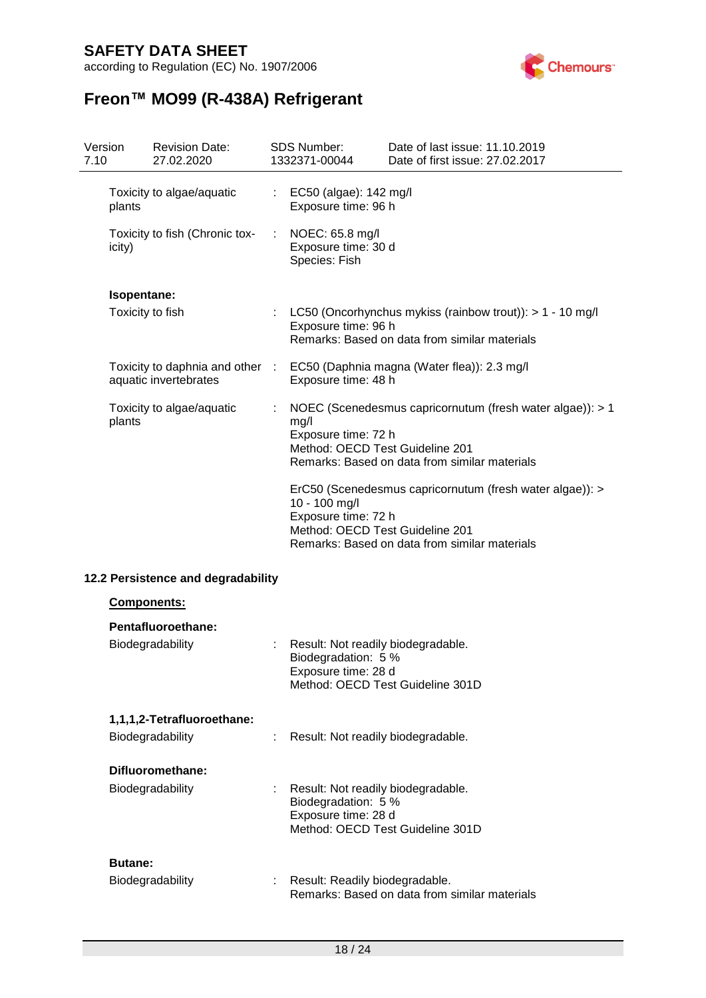according to Regulation (EC) No. 1907/2006



| 7.10 | Version                            | <b>Revision Date:</b><br>27.02.2020                      |                                                                                                                                                                                      | <b>SDS Number:</b><br>1332371-00044                                                                                                                                          | Date of last issue: 11.10.2019<br>Date of first issue: 27.02.2017                                          |
|------|------------------------------------|----------------------------------------------------------|--------------------------------------------------------------------------------------------------------------------------------------------------------------------------------------|------------------------------------------------------------------------------------------------------------------------------------------------------------------------------|------------------------------------------------------------------------------------------------------------|
|      | plants                             | Toxicity to algae/aquatic                                | $\mathbb{Z}^{\mathbb{Z}}$                                                                                                                                                            | EC50 (algae): 142 mg/l<br>Exposure time: 96 h                                                                                                                                |                                                                                                            |
|      | icity)                             | Toxicity to fish (Chronic tox-                           | ÷                                                                                                                                                                                    | NOEC: 65.8 mg/l<br>Exposure time: 30 d<br>Species: Fish                                                                                                                      |                                                                                                            |
|      | Isopentane:                        |                                                          |                                                                                                                                                                                      |                                                                                                                                                                              |                                                                                                            |
|      | Toxicity to fish                   |                                                          |                                                                                                                                                                                      | Exposure time: 96 h                                                                                                                                                          | LC50 (Oncorhynchus mykiss (rainbow trout)): > 1 - 10 mg/l<br>Remarks: Based on data from similar materials |
|      |                                    | Toxicity to daphnia and other :<br>aquatic invertebrates |                                                                                                                                                                                      | Exposure time: 48 h                                                                                                                                                          | EC50 (Daphnia magna (Water flea)): 2.3 mg/l                                                                |
|      | plants                             | Toxicity to algae/aquatic                                |                                                                                                                                                                                      | NOEC (Scenedesmus capricornutum (fresh water algae)): > 1<br>mg/l<br>Exposure time: 72 h<br>Method: OECD Test Guideline 201<br>Remarks: Based on data from similar materials |                                                                                                            |
|      |                                    |                                                          | ErC50 (Scenedesmus capricornutum (fresh water algae)): ><br>10 - 100 mg/l<br>Exposure time: 72 h<br>Method: OECD Test Guideline 201<br>Remarks: Based on data from similar materials |                                                                                                                                                                              |                                                                                                            |
|      | 12.2 Persistence and degradability |                                                          |                                                                                                                                                                                      |                                                                                                                                                                              |                                                                                                            |
|      | Components:                        |                                                          |                                                                                                                                                                                      |                                                                                                                                                                              |                                                                                                            |
|      |                                    | Pentafluoroethane:                                       |                                                                                                                                                                                      |                                                                                                                                                                              |                                                                                                            |
|      |                                    | Biodegradability                                         |                                                                                                                                                                                      | Result: Not readily biodegradable.<br>Biodegradation: 5 %<br>Exposure time: 28 d                                                                                             | Method: OECD Test Guideline 301D                                                                           |
|      |                                    | 1,1,1,2-Tetrafluoroethane:                               |                                                                                                                                                                                      |                                                                                                                                                                              |                                                                                                            |
|      |                                    | Biodegradability                                         | Result: Not readily biodegradable.                                                                                                                                                   |                                                                                                                                                                              |                                                                                                            |
|      |                                    | Difluoromethane:                                         |                                                                                                                                                                                      |                                                                                                                                                                              |                                                                                                            |
|      |                                    | Biodegradability                                         | Result: Not readily biodegradable.<br>Biodegradation: 5 %<br>Exposure time: 28 d<br>Method: OECD Test Guideline 301D                                                                 |                                                                                                                                                                              |                                                                                                            |
|      | <b>Butane:</b>                     |                                                          |                                                                                                                                                                                      |                                                                                                                                                                              |                                                                                                            |
|      |                                    | Biodegradability                                         |                                                                                                                                                                                      | Result: Readily biodegradable.                                                                                                                                               | Remarks: Based on data from similar materials                                                              |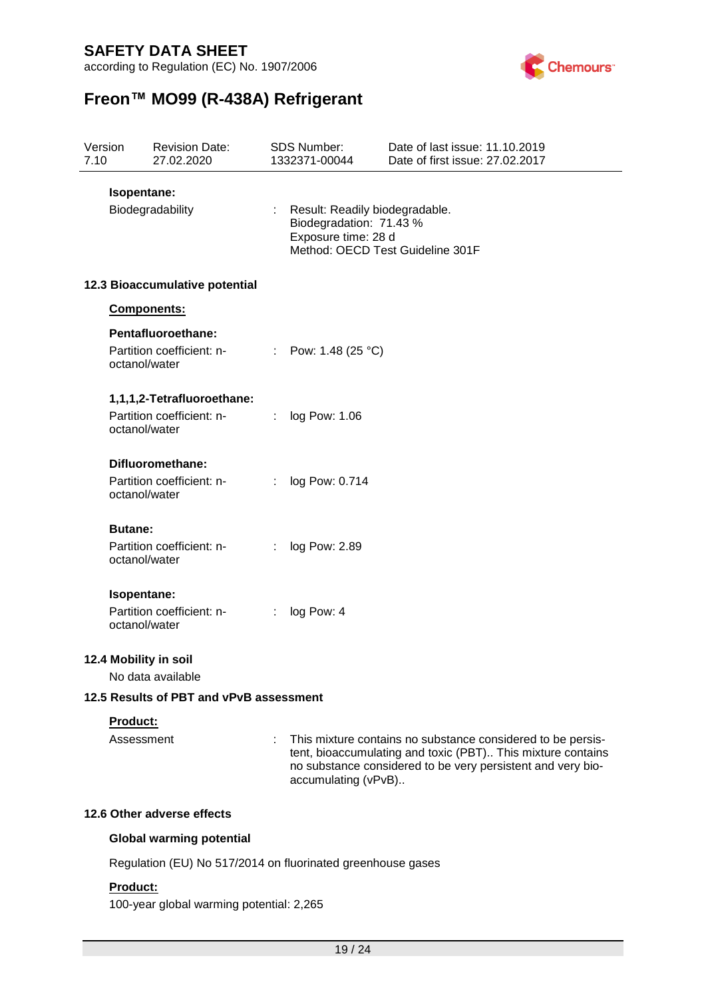according to Regulation (EC) No. 1907/2006



# **Freon™ MO99 (R-438A) Refrigerant**

| Version<br>7.10 |                                                             | <b>Revision Date:</b><br>27.02.2020                     |    | <b>SDS Number:</b><br>1332371-00044                                              | Date of last issue: 11.10.2019<br>Date of first issue: 27.02.2017                                                                                                                         |
|-----------------|-------------------------------------------------------------|---------------------------------------------------------|----|----------------------------------------------------------------------------------|-------------------------------------------------------------------------------------------------------------------------------------------------------------------------------------------|
|                 | Isopentane:                                                 | Biodegradability                                        |    | Result: Readily biodegradable.<br>Biodegradation: 71.43 %<br>Exposure time: 28 d | Method: OECD Test Guideline 301F                                                                                                                                                          |
|                 |                                                             | 12.3 Bioaccumulative potential                          |    |                                                                                  |                                                                                                                                                                                           |
|                 | Components:                                                 |                                                         |    |                                                                                  |                                                                                                                                                                                           |
|                 | octanol/water                                               | Pentafluoroethane:<br>Partition coefficient: n-         |    | : Pow: 1.48 (25 $^{\circ}$ C)                                                    |                                                                                                                                                                                           |
|                 | octanol/water                                               | 1,1,1,2-Tetrafluoroethane:<br>Partition coefficient: n- | t. | log Pow: 1.06                                                                    |                                                                                                                                                                                           |
|                 | octanol/water                                               | Difluoromethane:<br>Partition coefficient: n-           | ÷  | log Pow: 0.714                                                                   |                                                                                                                                                                                           |
|                 | <b>Butane:</b><br>octanol/water                             | Partition coefficient: n-                               | ÷  | log Pow: 2.89                                                                    |                                                                                                                                                                                           |
|                 | Isopentane:<br>octanol/water                                | Partition coefficient: n-                               |    | log Pow: 4                                                                       |                                                                                                                                                                                           |
|                 |                                                             | 12.4 Mobility in soil<br>No data available              |    |                                                                                  |                                                                                                                                                                                           |
|                 | 12.5 Results of PBT and vPvB assessment                     |                                                         |    |                                                                                  |                                                                                                                                                                                           |
|                 | <b>Product:</b><br>Assessment                               |                                                         |    | accumulating (vPvB)                                                              | This mixture contains no substance considered to be persis-<br>tent, bioaccumulating and toxic (PBT) This mixture contains<br>no substance considered to be very persistent and very bio- |
|                 |                                                             | 12.6 Other adverse effects                              |    |                                                                                  |                                                                                                                                                                                           |
|                 |                                                             | <b>Global warming potential</b>                         |    |                                                                                  |                                                                                                                                                                                           |
|                 | Regulation (EU) No 517/2014 on fluorinated greenhouse gases |                                                         |    |                                                                                  |                                                                                                                                                                                           |

#### **Product:**

100-year global warming potential: 2,265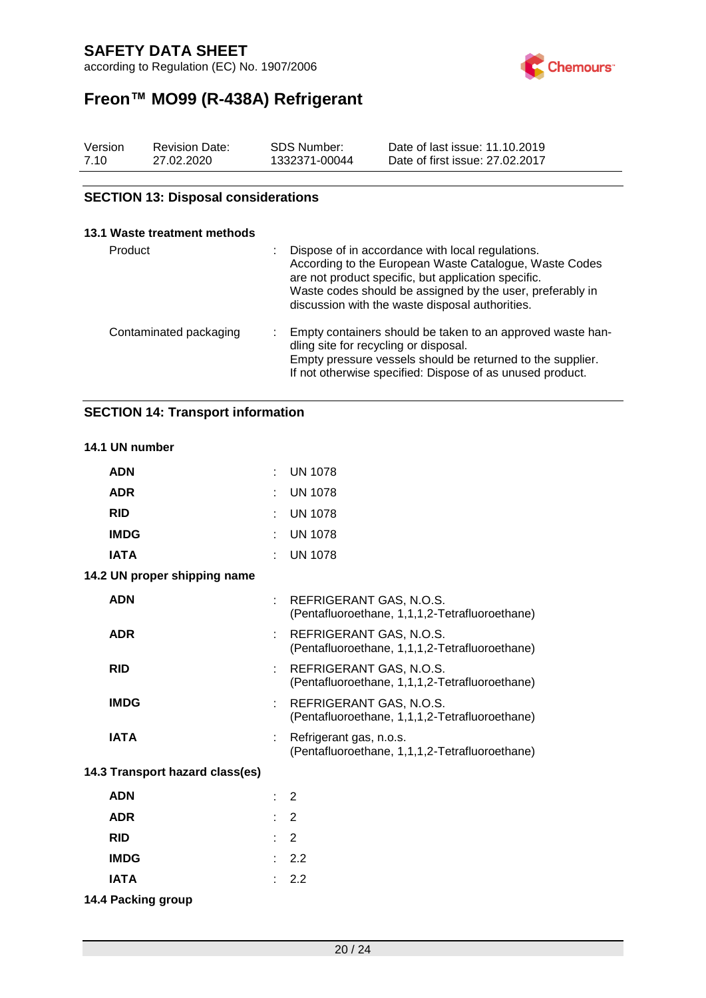according to Regulation (EC) No. 1907/2006



# **Freon™ MO99 (R-438A) Refrigerant**

| Version | <b>Revision Date:</b> | SDS Number:   | Date of last issue: 11.10.2019  |
|---------|-----------------------|---------------|---------------------------------|
| 7.10    | 27.02.2020            | 1332371-00044 | Date of first issue: 27,02,2017 |

#### **SECTION 13: Disposal considerations**

#### **13.1 Waste treatment methods**

| Product                | Dispose of in accordance with local regulations.<br>According to the European Waste Catalogue, Waste Codes<br>are not product specific, but application specific.<br>Waste codes should be assigned by the user, preferably in<br>discussion with the waste disposal authorities. |
|------------------------|-----------------------------------------------------------------------------------------------------------------------------------------------------------------------------------------------------------------------------------------------------------------------------------|
| Contaminated packaging | Empty containers should be taken to an approved waste han-<br>dling site for recycling or disposal.<br>Empty pressure vessels should be returned to the supplier.<br>If not otherwise specified: Dispose of as unused product.                                                    |

### **SECTION 14: Transport information**

#### **14.1 UN number**

| <b>ADN</b>                      |   | <b>UN 1078</b>                                                            |
|---------------------------------|---|---------------------------------------------------------------------------|
| <b>ADR</b>                      |   | <b>UN 1078</b>                                                            |
| <b>RID</b>                      |   | <b>UN 1078</b>                                                            |
| <b>IMDG</b>                     |   | <b>UN 1078</b>                                                            |
| <b>IATA</b>                     |   | <b>UN 1078</b>                                                            |
| 14.2 UN proper shipping name    |   |                                                                           |
| <b>ADN</b>                      |   | REFRIGERANT GAS, N.O.S.<br>(Pentafluoroethane, 1,1,1,2-Tetrafluoroethane) |
| <b>ADR</b>                      |   | REFRIGERANT GAS, N.O.S.<br>(Pentafluoroethane, 1,1,1,2-Tetrafluoroethane) |
| <b>RID</b>                      |   | REFRIGERANT GAS, N.O.S.<br>(Pentafluoroethane, 1,1,1,2-Tetrafluoroethane) |
| <b>IMDG</b>                     | ÷ | REFRIGERANT GAS, N.O.S.<br>(Pentafluoroethane, 1,1,1,2-Tetrafluoroethane) |
| <b>IATA</b>                     |   | Refrigerant gas, n.o.s.<br>(Pentafluoroethane, 1,1,1,2-Tetrafluoroethane) |
| 14.3 Transport hazard class(es) |   |                                                                           |
| <b>ADN</b>                      |   | $\overline{2}$                                                            |
| <b>ADR</b>                      |   | 2                                                                         |
| <b>RID</b>                      |   | 2                                                                         |
| <b>IMDG</b>                     |   | 2.2                                                                       |
| <b>IATA</b>                     |   | 2.2                                                                       |
| 14.4 Packing group              |   |                                                                           |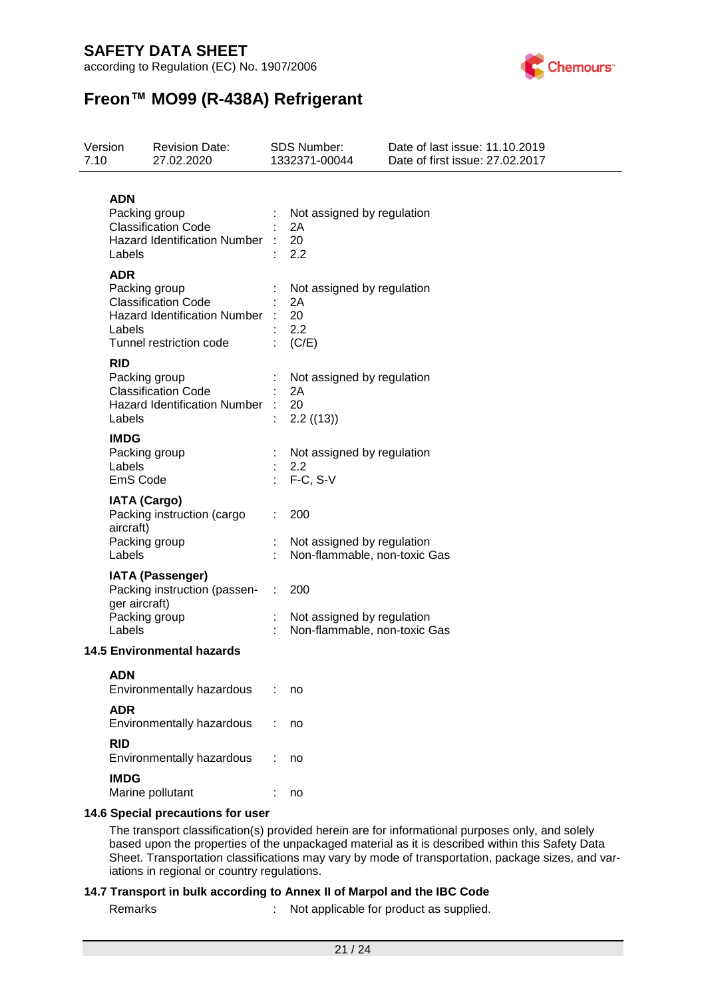according to Regulation (EC) No. 1907/2006



# **Freon™ MO99 (R-438A) Refrigerant**

| 7.10                                                                                                       | Version                                                                                                                               | <b>Revision Date:</b><br>27.02.2020                                                |                                               | <b>SDS Number:</b><br>1332371-00044                               | Date of last issue: 11.10.2019<br>Date of first issue: 27.02.2017                                                                                                                                 |
|------------------------------------------------------------------------------------------------------------|---------------------------------------------------------------------------------------------------------------------------------------|------------------------------------------------------------------------------------|-----------------------------------------------|-------------------------------------------------------------------|---------------------------------------------------------------------------------------------------------------------------------------------------------------------------------------------------|
| <b>ADN</b><br>Packing group<br><b>Classification Code</b><br><b>Hazard Identification Number</b><br>Labels |                                                                                                                                       |                                                                                    | Not assigned by regulation<br>2A<br>20<br>2.2 |                                                                   |                                                                                                                                                                                                   |
|                                                                                                            | <b>ADR</b><br>Packing group<br><b>Classification Code</b><br><b>Hazard Identification Number</b><br>Labels<br>Tunnel restriction code |                                                                                    |                                               | Not assigned by regulation<br>2A<br>20<br>2.2<br>(C/E)            |                                                                                                                                                                                                   |
|                                                                                                            | <b>RID</b><br>Labels                                                                                                                  | Packing group<br><b>Classification Code</b><br><b>Hazard Identification Number</b> |                                               | Not assigned by regulation<br>2A<br>20<br>2.2 ((13))              |                                                                                                                                                                                                   |
|                                                                                                            | <b>IMDG</b><br>Labels<br>EmS Code                                                                                                     | Packing group                                                                      |                                               | Not assigned by regulation<br>2.2<br>$F-C, S-V$                   |                                                                                                                                                                                                   |
|                                                                                                            | <b>IATA (Cargo)</b><br>aircraft)<br>Labels                                                                                            | Packing instruction (cargo<br>Packing group                                        |                                               | 200<br>Not assigned by regulation<br>Non-flammable, non-toxic Gas |                                                                                                                                                                                                   |
|                                                                                                            | ger aircraft)<br>Labels                                                                                                               | <b>IATA (Passenger)</b><br>Packing instruction (passen-<br>Packing group           | ÷.                                            | 200<br>Not assigned by regulation<br>Non-flammable, non-toxic Gas |                                                                                                                                                                                                   |
| <b>14.5 Environmental hazards</b>                                                                          |                                                                                                                                       |                                                                                    |                                               |                                                                   |                                                                                                                                                                                                   |
|                                                                                                            | <b>ADN</b>                                                                                                                            | Environmentally hazardous                                                          |                                               | no                                                                |                                                                                                                                                                                                   |
|                                                                                                            | <b>ADR</b>                                                                                                                            | Environmentally hazardous                                                          |                                               | no                                                                |                                                                                                                                                                                                   |
|                                                                                                            | <b>RID</b>                                                                                                                            | Environmentally hazardous                                                          |                                               | no                                                                |                                                                                                                                                                                                   |
|                                                                                                            | <b>IMDG</b>                                                                                                                           | Marine pollutant                                                                   |                                               | no                                                                |                                                                                                                                                                                                   |
|                                                                                                            |                                                                                                                                       | 14.6 Special precautions for user                                                  |                                               |                                                                   |                                                                                                                                                                                                   |
|                                                                                                            |                                                                                                                                       |                                                                                    |                                               |                                                                   | The transport classification(s) provided herein are for informational purposes only, and solely<br>hased upon the properties of the uppackaned material as it is described within this Safety Dat |

based upon the properties of the unpackaged material as it is described within this Safety Data Sheet. Transportation classifications may vary by mode of transportation, package sizes, and variations in regional or country regulations.

#### **14.7 Transport in bulk according to Annex II of Marpol and the IBC Code**

Remarks : Not applicable for product as supplied.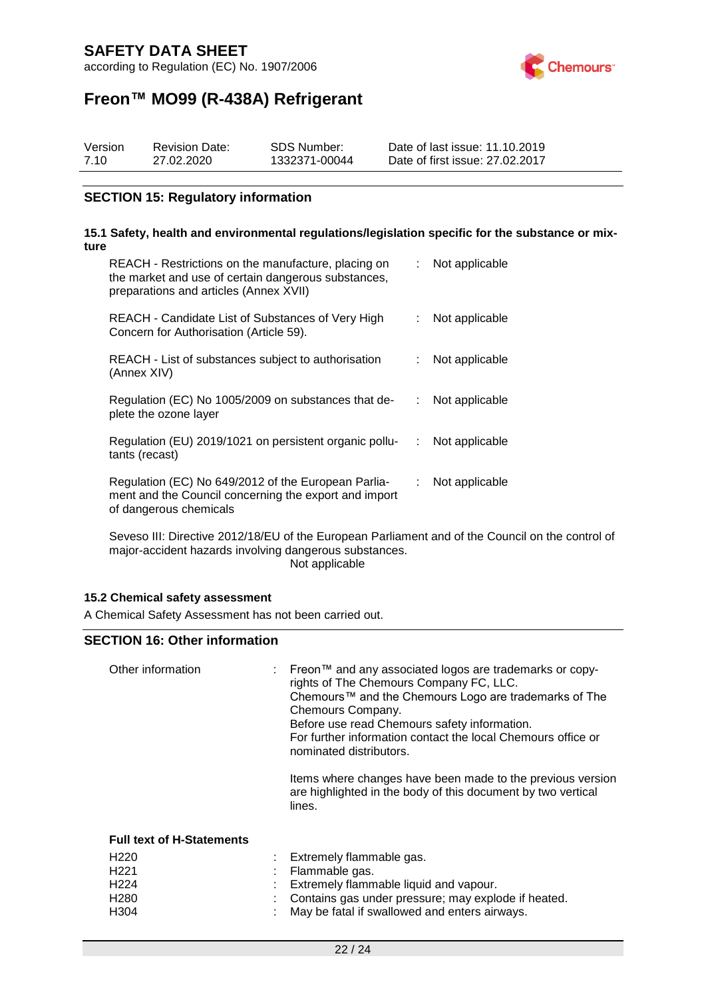according to Regulation (EC) No. 1907/2006



# **Freon™ MO99 (R-438A) Refrigerant**

| Version | <b>Revision Date:</b> | SDS Number:   | Date of last issue: 11.10.2019  |
|---------|-----------------------|---------------|---------------------------------|
| 7.10    | 27.02.2020            | 1332371-00044 | Date of first issue: 27.02.2017 |

#### **SECTION 15: Regulatory information**

#### **15.1 Safety, health and environmental regulations/legislation specific for the substance or mixture**

| REACH - Restrictions on the manufacture, placing on<br>the market and use of certain dangerous substances,<br>preparations and articles (Annex XVII) |    | Not applicable |
|------------------------------------------------------------------------------------------------------------------------------------------------------|----|----------------|
| REACH - Candidate List of Substances of Very High<br>Concern for Authorisation (Article 59).                                                         |    | Not applicable |
| REACH - List of substances subject to authorisation<br>(Annex XIV)                                                                                   |    | Not applicable |
| Regulation (EC) No 1005/2009 on substances that de-<br>plete the ozone layer                                                                         |    | Not applicable |
| Regulation (EU) 2019/1021 on persistent organic pollu-<br>tants (recast)                                                                             | ÷. | Not applicable |
| Regulation (EC) No 649/2012 of the European Parlia-<br>ment and the Council concerning the export and import<br>of dangerous chemicals               | ÷. | Not applicable |

Seveso III: Directive 2012/18/EU of the European Parliament and of the Council on the control of major-accident hazards involving dangerous substances. Not applicable

#### **15.2 Chemical safety assessment**

A Chemical Safety Assessment has not been carried out.

#### **SECTION 16: Other information**

| Other information                | : Freon™ and any associated logos are trademarks or copy-<br>rights of The Chemours Company FC, LLC.<br>Chemours™ and the Chemours Logo are trademarks of The<br>Chemours Company.<br>Before use read Chemours safety information.<br>For further information contact the local Chemours office or<br>nominated distributors.<br>Items where changes have been made to the previous version<br>are highlighted in the body of this document by two vertical<br>lines. |
|----------------------------------|-----------------------------------------------------------------------------------------------------------------------------------------------------------------------------------------------------------------------------------------------------------------------------------------------------------------------------------------------------------------------------------------------------------------------------------------------------------------------|
| <b>Full text of H-Statements</b> |                                                                                                                                                                                                                                                                                                                                                                                                                                                                       |
| H <sub>220</sub>                 | : Extremely flammable gas.                                                                                                                                                                                                                                                                                                                                                                                                                                            |
| H <sub>221</sub>                 | Flammable gas.                                                                                                                                                                                                                                                                                                                                                                                                                                                        |
| H <sub>224</sub>                 | Extremely flammable liquid and vapour.                                                                                                                                                                                                                                                                                                                                                                                                                                |
| H <sub>280</sub>                 | Contains gas under pressure; may explode if heated.                                                                                                                                                                                                                                                                                                                                                                                                                   |

H304 : May be fatal if swallowed and enters airways.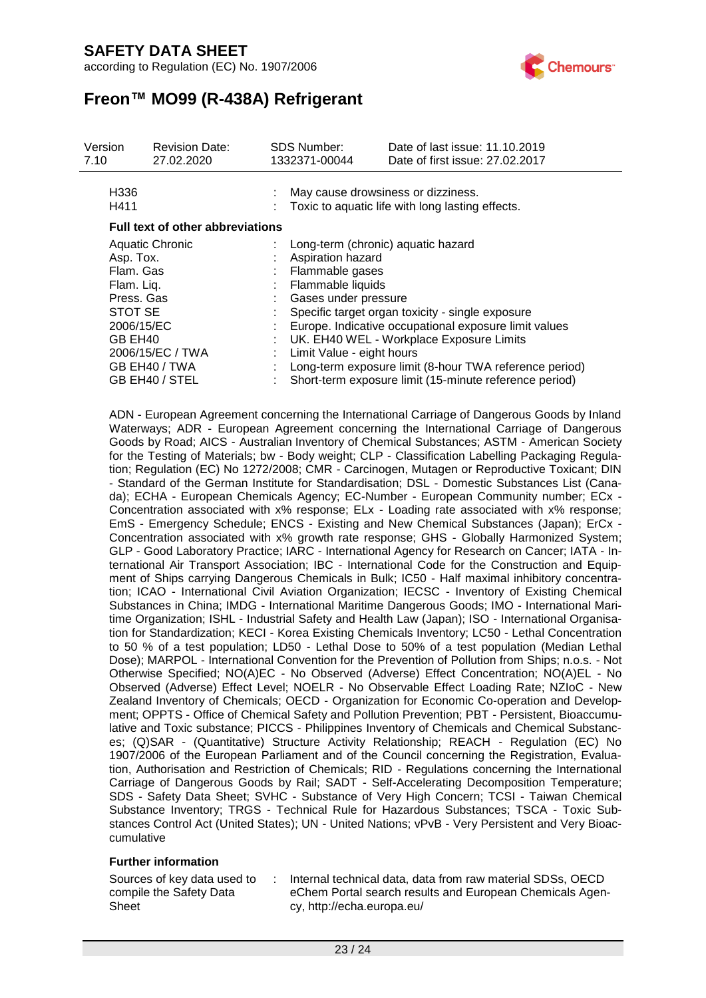according to Regulation (EC) No. 1907/2006



# **Freon™ MO99 (R-438A) Refrigerant**

| Version<br><b>Revision Date:</b><br>7.10<br>27.02.2020 |    | <b>SDS Number:</b><br>1332371-00044                                                    | Date of last issue: 11.10.2019<br>Date of first issue: 27,02,2017 |  |  |
|--------------------------------------------------------|----|----------------------------------------------------------------------------------------|-------------------------------------------------------------------|--|--|
| H336<br>H411                                           |    | May cause drowsiness or dizziness.<br>Toxic to aquatic life with long lasting effects. |                                                                   |  |  |
| <b>Full text of other abbreviations</b>                |    |                                                                                        |                                                                   |  |  |
| Aquatic Chronic                                        |    | : Long-term (chronic) aquatic hazard                                                   |                                                                   |  |  |
| Asp. Tox.                                              |    | Aspiration hazard                                                                      |                                                                   |  |  |
| Flam. Gas                                              |    | : Flammable gases                                                                      |                                                                   |  |  |
| Flam. Liq.                                             |    | : Flammable liquids                                                                    |                                                                   |  |  |
| Press, Gas                                             |    | : Gases under pressure                                                                 |                                                                   |  |  |
| STOT SE                                                |    |                                                                                        | Specific target organ toxicity - single exposure                  |  |  |
| 2006/15/EC                                             |    |                                                                                        | Europe. Indicative occupational exposure limit values             |  |  |
| GB EH40                                                |    | UK. EH40 WEL - Workplace Exposure Limits<br>$\mathcal{L}^{\mathcal{L}}$                |                                                                   |  |  |
| 2006/15/EC / TWA                                       | ÷. | Limit Value - eight hours                                                              |                                                                   |  |  |
| GB EH40 / TWA                                          |    |                                                                                        | Long-term exposure limit (8-hour TWA reference period)            |  |  |
| GB EH40 / STEL                                         |    |                                                                                        | Short-term exposure limit (15-minute reference period)            |  |  |

ADN - European Agreement concerning the International Carriage of Dangerous Goods by Inland Waterways; ADR - European Agreement concerning the International Carriage of Dangerous Goods by Road; AICS - Australian Inventory of Chemical Substances; ASTM - American Society for the Testing of Materials; bw - Body weight; CLP - Classification Labelling Packaging Regulation; Regulation (EC) No 1272/2008; CMR - Carcinogen, Mutagen or Reproductive Toxicant; DIN - Standard of the German Institute for Standardisation; DSL - Domestic Substances List (Canada); ECHA - European Chemicals Agency; EC-Number - European Community number; ECx - Concentration associated with x% response; ELx - Loading rate associated with x% response; EmS - Emergency Schedule; ENCS - Existing and New Chemical Substances (Japan); ErCx - Concentration associated with x% growth rate response; GHS - Globally Harmonized System; GLP - Good Laboratory Practice; IARC - International Agency for Research on Cancer; IATA - International Air Transport Association; IBC - International Code for the Construction and Equipment of Ships carrying Dangerous Chemicals in Bulk; IC50 - Half maximal inhibitory concentration; ICAO - International Civil Aviation Organization; IECSC - Inventory of Existing Chemical Substances in China; IMDG - International Maritime Dangerous Goods; IMO - International Maritime Organization; ISHL - Industrial Safety and Health Law (Japan); ISO - International Organisation for Standardization; KECI - Korea Existing Chemicals Inventory; LC50 - Lethal Concentration to 50 % of a test population; LD50 - Lethal Dose to 50% of a test population (Median Lethal Dose); MARPOL - International Convention for the Prevention of Pollution from Ships; n.o.s. - Not Otherwise Specified; NO(A)EC - No Observed (Adverse) Effect Concentration; NO(A)EL - No Observed (Adverse) Effect Level; NOELR - No Observable Effect Loading Rate; NZIoC - New Zealand Inventory of Chemicals; OECD - Organization for Economic Co-operation and Development; OPPTS - Office of Chemical Safety and Pollution Prevention; PBT - Persistent, Bioaccumulative and Toxic substance; PICCS - Philippines Inventory of Chemicals and Chemical Substances; (Q)SAR - (Quantitative) Structure Activity Relationship; REACH - Regulation (EC) No 1907/2006 of the European Parliament and of the Council concerning the Registration, Evaluation, Authorisation and Restriction of Chemicals; RID - Regulations concerning the International Carriage of Dangerous Goods by Rail; SADT - Self-Accelerating Decomposition Temperature; SDS - Safety Data Sheet; SVHC - Substance of Very High Concern; TCSI - Taiwan Chemical Substance Inventory; TRGS - Technical Rule for Hazardous Substances; TSCA - Toxic Substances Control Act (United States); UN - United Nations; vPvB - Very Persistent and Very Bioaccumulative

#### **Further information**

Sources of key data used to compile the Safety Data Sheet

: Internal technical data, data from raw material SDSs, OECD eChem Portal search results and European Chemicals Agency, http://echa.europa.eu/